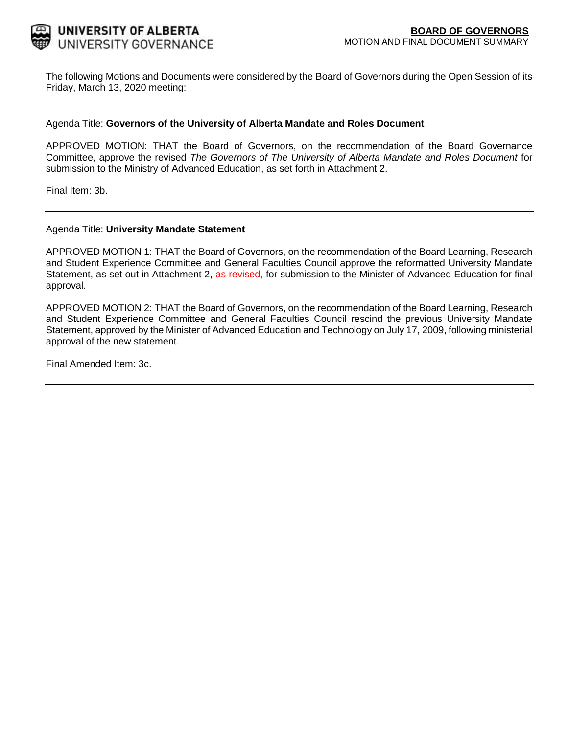

The following Motions and Documents were considered by the Board of Governors during the Open Session of its Friday, March 13, 2020 meeting:

#### Agenda Title: **Governors of the University of Alberta Mandate and Roles Document**

APPROVED MOTION: THAT the Board of Governors, on the recommendation of the Board Governance Committee, approve the revised *The Governors of The University of Alberta Mandate and Roles Document* for submission to the Ministry of Advanced Education, as set forth in Attachment 2.

Final Item: [3b.](#page-1-0)

#### Agenda Title: **University Mandate Statement**

APPROVED MOTION 1: THAT the Board of Governors, on the recommendation of the Board Learning, Research and Student Experience Committee and General Faculties Council approve the reformatted University Mandate Statement, as set out in Attachment 2, as revised, for submission to the Minister of Advanced Education for final approval.

APPROVED MOTION 2: THAT the Board of Governors, on the recommendation of the Board Learning, Research and Student Experience Committee and General Faculties Council rescind the previous University Mandate Statement, approved by the Minister of Advanced Education and Technology on July 17, 2009, following ministerial approval of the new statement.

Final Amended Item: [3c.](#page-25-0)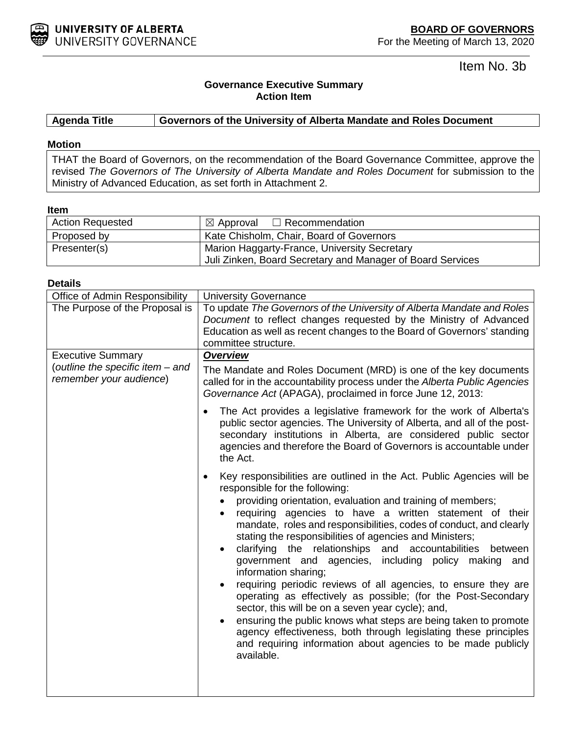<span id="page-1-0"></span>

Item No. 3b

## **Governance Executive Summary Action Item**

### **Agenda Title Governors of the University of Alberta Mandate and Roles Document**

#### **Motion**

THAT the Board of Governors, on the recommendation of the Board Governance Committee, approve the revised *The Governors of The University of Alberta Mandate and Roles Document* for submission to the Ministry of Advanced Education, as set forth in Attachment 2.

#### **Item**

| <b>Action Requested</b> | $\boxtimes$ Approval $\Box$ Recommendation                 |
|-------------------------|------------------------------------------------------------|
| Proposed by             | Kate Chisholm, Chair, Board of Governors                   |
| Presenter(s)            | Marion Haggarty-France, University Secretary               |
|                         | Juli Zinken, Board Secretary and Manager of Board Services |

#### **Details**

| Office of Admin Responsibility                              | <b>University Governance</b>                                                                                                                                                                                                                                                                                                                                                                                                                                                                                                                                                                                                                                                                                                                                                                                                                                                                                                               |  |  |
|-------------------------------------------------------------|--------------------------------------------------------------------------------------------------------------------------------------------------------------------------------------------------------------------------------------------------------------------------------------------------------------------------------------------------------------------------------------------------------------------------------------------------------------------------------------------------------------------------------------------------------------------------------------------------------------------------------------------------------------------------------------------------------------------------------------------------------------------------------------------------------------------------------------------------------------------------------------------------------------------------------------------|--|--|
| The Purpose of the Proposal is                              | To update The Governors of the University of Alberta Mandate and Roles<br>Document to reflect changes requested by the Ministry of Advanced<br>Education as well as recent changes to the Board of Governors' standing<br>committee structure.                                                                                                                                                                                                                                                                                                                                                                                                                                                                                                                                                                                                                                                                                             |  |  |
| <b>Executive Summary</b>                                    | <b>Overview</b>                                                                                                                                                                                                                                                                                                                                                                                                                                                                                                                                                                                                                                                                                                                                                                                                                                                                                                                            |  |  |
| (outline the specific item - and<br>remember your audience) | The Mandate and Roles Document (MRD) is one of the key documents<br>called for in the accountability process under the Alberta Public Agencies<br>Governance Act (APAGA), proclaimed in force June 12, 2013:                                                                                                                                                                                                                                                                                                                                                                                                                                                                                                                                                                                                                                                                                                                               |  |  |
|                                                             | The Act provides a legislative framework for the work of Alberta's<br>public sector agencies. The University of Alberta, and all of the post-<br>secondary institutions in Alberta, are considered public sector<br>agencies and therefore the Board of Governors is accountable under<br>the Act.                                                                                                                                                                                                                                                                                                                                                                                                                                                                                                                                                                                                                                         |  |  |
|                                                             | Key responsibilities are outlined in the Act. Public Agencies will be<br>responsible for the following:<br>providing orientation, evaluation and training of members;<br>requiring agencies to have a written statement of their<br>mandate, roles and responsibilities, codes of conduct, and clearly<br>stating the responsibilities of agencies and Ministers;<br>clarifying the relationships and accountabilities<br>between<br>$\bullet$<br>government and agencies, including policy making and<br>information sharing;<br>requiring periodic reviews of all agencies, to ensure they are<br>operating as effectively as possible; (for the Post-Secondary<br>sector, this will be on a seven year cycle); and,<br>ensuring the public knows what steps are being taken to promote<br>agency effectiveness, both through legislating these principles<br>and requiring information about agencies to be made publicly<br>available. |  |  |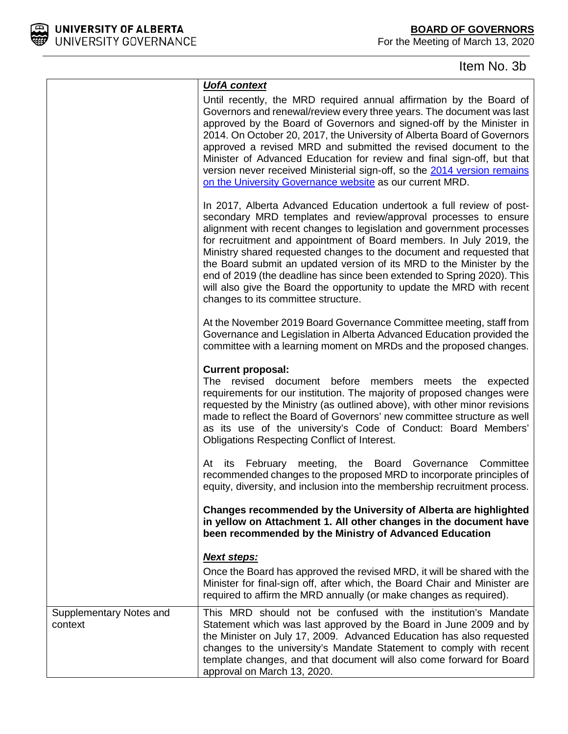

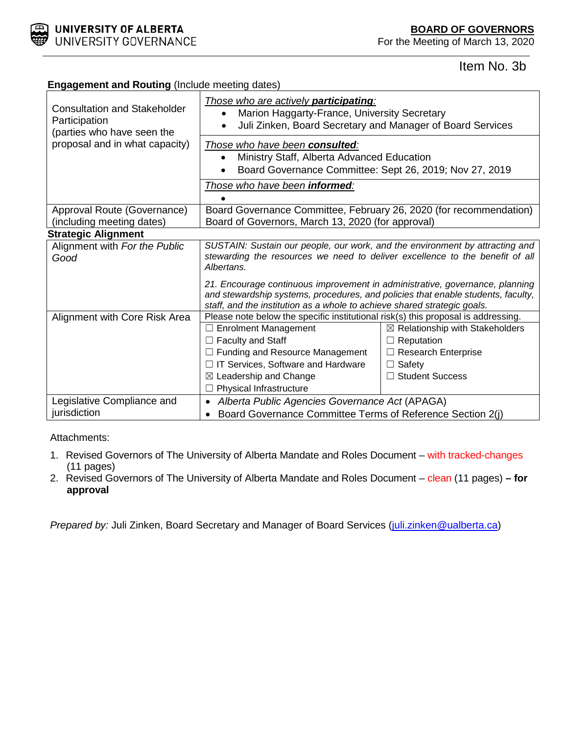

For the Meeting of March 13, 2020



| <b>Consultation and Stakeholder</b><br>Participation<br>(parties who have seen the | Those who are actively participating:<br>Marion Haggarty-France, University Secretary<br>Juli Zinken, Board Secretary and Manager of Board Services                                                                                          |                                            |  |
|------------------------------------------------------------------------------------|----------------------------------------------------------------------------------------------------------------------------------------------------------------------------------------------------------------------------------------------|--------------------------------------------|--|
| proposal and in what capacity)                                                     | Those who have been consulted:<br>Ministry Staff, Alberta Advanced Education<br>$\bullet$<br>Board Governance Committee: Sept 26, 2019; Nov 27, 2019                                                                                         |                                            |  |
|                                                                                    | Those who have been informed:                                                                                                                                                                                                                |                                            |  |
|                                                                                    |                                                                                                                                                                                                                                              |                                            |  |
| Approval Route (Governance)                                                        | Board Governance Committee, February 26, 2020 (for recommendation)                                                                                                                                                                           |                                            |  |
| (including meeting dates)                                                          | Board of Governors, March 13, 2020 (for approval)                                                                                                                                                                                            |                                            |  |
| <b>Strategic Alignment</b>                                                         |                                                                                                                                                                                                                                              |                                            |  |
| Alignment with For the Public<br>Good                                              | SUSTAIN: Sustain our people, our work, and the environment by attracting and<br>stewarding the resources we need to deliver excellence to the benefit of all<br>Albertans.                                                                   |                                            |  |
|                                                                                    | 21. Encourage continuous improvement in administrative, governance, planning<br>and stewardship systems, procedures, and policies that enable students, faculty,<br>staff, and the institution as a whole to achieve shared strategic goals. |                                            |  |
| Alignment with Core Risk Area                                                      | Please note below the specific institutional risk(s) this proposal is addressing.                                                                                                                                                            |                                            |  |
|                                                                                    | $\Box$ Enrolment Management                                                                                                                                                                                                                  | $\boxtimes$ Relationship with Stakeholders |  |
|                                                                                    | $\Box$ Faculty and Staff                                                                                                                                                                                                                     | $\Box$ Reputation                          |  |
|                                                                                    | □ Funding and Resource Management                                                                                                                                                                                                            | Research Enterprise                        |  |
|                                                                                    | □ IT Services, Software and Hardware                                                                                                                                                                                                         | $\Box$ Safety                              |  |
|                                                                                    | $\boxtimes$ Leadership and Change                                                                                                                                                                                                            | $\Box$ Student Success                     |  |
|                                                                                    | Physical Infrastructure                                                                                                                                                                                                                      |                                            |  |
| Legislative Compliance and                                                         | • Alberta Public Agencies Governance Act (APAGA)                                                                                                                                                                                             |                                            |  |

Attachments:

jurisdiction

1. Revised Governors of The University of Alberta Mandate and Roles Document – with tracked-changes (11 pages)

• Board Governance Committee Terms of Reference Section 2(j)

2. Revised Governors of The University of Alberta Mandate and Roles Document – clean (11 pages) **– for approval**

*Prepared by:* Juli Zinken, Board Secretary and Manager of Board Services (*juli.zinken@ualberta.ca*)

#### **Engagement and Routing (Include meeting dates)**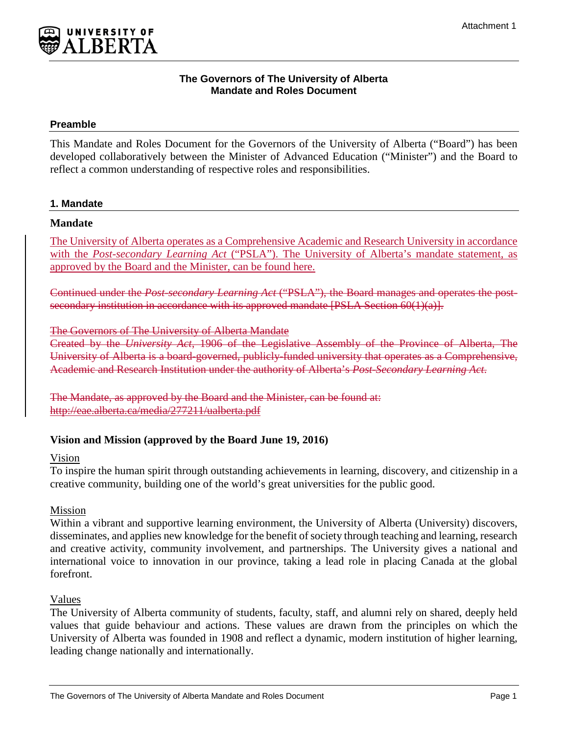

### **The Governors of The University of Alberta Mandate and Roles Document**

## **Preamble**

This Mandate and Roles Document for the Governors of the University of Alberta ("Board") has been developed collaboratively between the Minister of Advanced Education ("Minister") and the Board to reflect a common understanding of respective roles and responsibilities.

## **1. Mandate**

#### **Mandate**

The University of Alberta operates as a Comprehensive Academic and Research University in accordance with the *Post-secondary Learning Act* ("PSLA"). The University of Alberta's mandate statement, as approved by the Board and the Minister, can be found [here.](https://www.alberta.ca/types-publicly-funded-post-secondary-institutions.aspx)

Continued under the *Post-secondary Learning Act* ("PSLA"), the Board manages and operates the postsecondary institution in accordance with its approved mandate [PSLA Section 60(1)(a)].

#### The Governors of The University of Alberta Mandate

Created by the *University Act*, 1906 of the Legislative Assembly of the Province of Alberta, The University of Alberta is a board-governed, publicly-funded university that operates as a Comprehensive, Academic and Research Institution under the authority of Alberta's *Post-Secondary Learning Act*.

The Mandate, as approved by the Board and the Minister, can be found at: http://eae.alberta.ca/media/277211/ualberta.pdf

## **Vision and Mission (approved by the Board June 19, 2016)**

#### Vision

To inspire the human spirit through outstanding achievements in learning, discovery, and citizenship in a creative community, building one of the world's great universities for the public good.

## Mission

Within a vibrant and supportive learning environment, the University of Alberta (University) discovers, disseminates, and applies new knowledge for the benefit of society through teaching and learning, research and creative activity, community involvement, and partnerships. The University gives a national and international voice to innovation in our province, taking a lead role in placing Canada at the global forefront.

#### Values

The University of Alberta community of students, faculty, staff, and alumni rely on shared, deeply held values that guide behaviour and actions. These values are drawn from the principles on which the University of Alberta was founded in 1908 and reflect a dynamic, modern institution of higher learning, leading change nationally and internationally.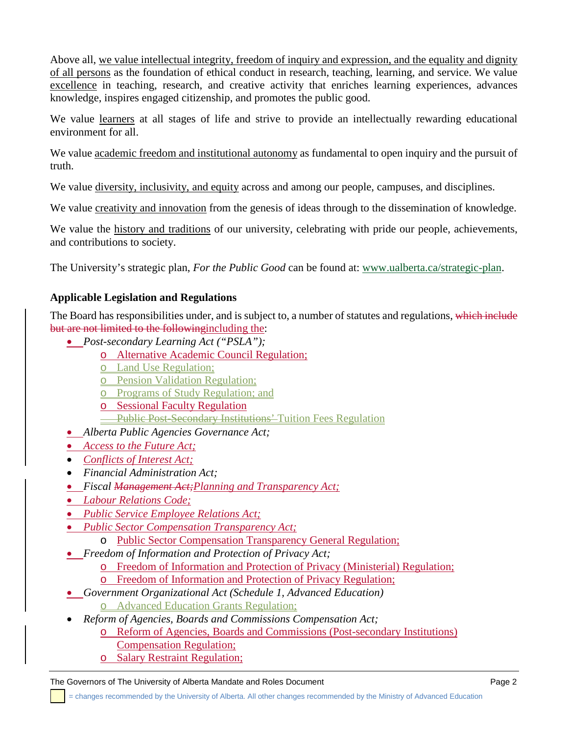Above all, we value intellectual integrity, freedom of inquiry and expression, and the equality and dignity of all persons as the foundation of ethical conduct in research, teaching, learning, and service. We value excellence in teaching, research, and creative activity that enriches learning experiences, advances knowledge, inspires engaged citizenship, and promotes the public good.

We value learners at all stages of life and strive to provide an intellectually rewarding educational environment for all.

We value academic freedom and institutional autonomy as fundamental to open inquiry and the pursuit of truth.

We value diversity, inclusivity, and equity across and among our people, campuses, and disciplines.

We value creativity and innovation from the genesis of ideas through to the dissemination of knowledge.

We value the history and traditions of our university, celebrating with pride our people, achievements, and contributions to society.

The University's strategic plan, *For the Public Good* can be found at: [www.ualberta.ca/strategic-plan.](http://www.ualberta.ca/strategic-plan)

## **Applicable Legislation and Regulations**

The Board has responsibilities under, and is subject to, a number of statutes and regulations, which include but are not limited to the followingincluding the:

- *Post-secondary Learning Act ("PSLA");*
	- o Alternative Academic Council Regulation;
	- o Land Use Regulation;
	- o Pension Validation Regulation;
	- o Programs of Study Regulation; and
	- o Sessional Faculty Regulation
	- **Public Post-Secondary Institutions' Tuition Fees Regulation**
- *Alberta Public Agencies Governance Act;*
- *Access to the Future Act;*
- *Conflicts of Interest Act;*
- *Financial Administration Act;*
- *Fiscal Management Act;Planning and Transparency Act;*
- *Labour Relations Code;*
- *Public Service Employee Relations Act;*
- *Public Sector Compensation Transparency Act;*
	- o Public Sector Compensation Transparency General Regulation;
- *Freedom of Information and Protection of Privacy Act;* 
	- o Freedom of Information and Protection of Privacy (Ministerial) Regulation;
	- o Freedom of Information and Protection of Privacy Regulation;
- *Government Organizational Act (Schedule 1, Advanced Education)* o Advanced Education Grants Regulation;
- *Reform of Agencies, Boards and Commissions Compensation Act;*
	- o Reform of Agencies, Boards and Commissions (Post-secondary Institutions) Compensation Regulation;
	- o Salary Restraint Regulation;

#### The Governors of The University of Alberta Mandate and Roles Document **Page 2** Page 2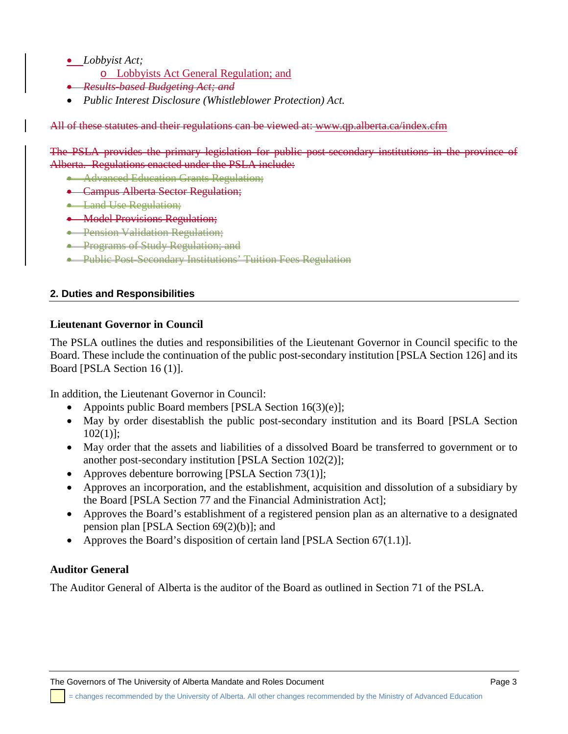- *Lobbyist Act;*
	- o Lobbyists Act General Regulation; and
- *Results-based Budgeting Act; and*
- *Public Interest Disclosure (Whistleblower Protection) Act.*

All of these statutes and their regulations can be viewed at: www.qp.alberta.ca/index.cfm

The PSLA provides the primary legislation for public post-secondary institutions in the province of Alberta. Regulations enacted under the PSLA include:

- Advanced Education Grants Regulation;
- Campus Alberta Sector Regulation;
- **Land Use Regulation;**
- Model Provisions Regulation;
- Pension Validation Regulation:
- **Programs of Study Regulation; and**
- Public Post-Secondary Institutions' Tuition Fees Regulation

## **2. Duties and Responsibilities**

## **Lieutenant Governor in Council**

The PSLA outlines the duties and responsibilities of the Lieutenant Governor in Council specific to the Board. These include the continuation of the public post-secondary institution [PSLA Section 126] and its Board [PSLA Section 16 (1)].

In addition, the Lieutenant Governor in Council:

- Appoints public Board members [PSLA Section 16(3)(e)];
- May by order disestablish the public post-secondary institution and its Board [PSLA Section 102(1)];
- May order that the assets and liabilities of a dissolved Board be transferred to government or to another post-secondary institution [PSLA Section 102(2)];
- Approves debenture borrowing [PSLA Section 73(1)];
- Approves an incorporation, and the establishment, acquisition and dissolution of a subsidiary by the Board [PSLA Section 77 and the Financial Administration Act];
- Approves the Board's establishment of a registered pension plan as an alternative to a designated pension plan [PSLA Section 69(2)(b)]; and
- Approves the Board's disposition of certain land [PSLA Section 67(1.1)].

## **Auditor General**

The Auditor General of Alberta is the auditor of the Board as outlined in Section 71 of the PSLA.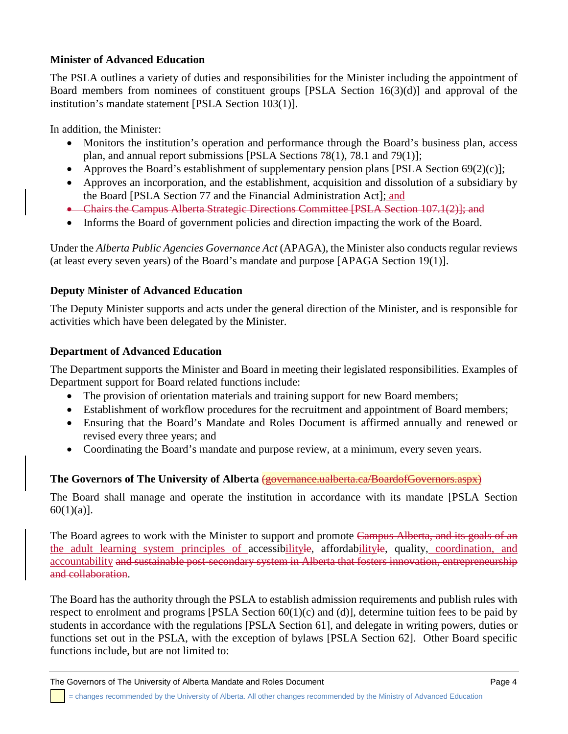## **Minister of Advanced Education**

The PSLA outlines a variety of duties and responsibilities for the Minister including the appointment of Board members from nominees of constituent groups [PSLA Section 16(3)(d)] and approval of the institution's mandate statement [PSLA Section 103(1)].

In addition, the Minister:

- Monitors the institution's operation and performance through the Board's business plan, access plan, and annual report submissions [PSLA Sections 78(1), 78.1 and 79(1)];
- Approves the Board's establishment of supplementary pension plans [PSLA Section  $69(2)(c)$ ];
- Approves an incorporation, and the establishment, acquisition and dissolution of a subsidiary by the Board [PSLA Section 77 and the Financial Administration Act]; and
- Chairs the Campus Alberta Strategic Directions Committee [PSLA Section 107.1(2)]; and
- Informs the Board of government policies and direction impacting the work of the Board.

Under the *Alberta Public Agencies Governance Act* (APAGA), the Minister also conducts regular reviews (at least every seven years) of the Board's mandate and purpose [APAGA Section 19(1)].

## **Deputy Minister of Advanced Education**

The Deputy Minister supports and acts under the general direction of the Minister, and is responsible for activities which have been delegated by the Minister.

## **Department of Advanced Education**

The Department supports the Minister and Board in meeting their legislated responsibilities. Examples of Department support for Board related functions include:

- The provision of orientation materials and training support for new Board members;
- Establishment of workflow procedures for the recruitment and appointment of Board members;
- Ensuring that the Board's Mandate and Roles Document is affirmed annually and renewed or revised every three years; and
- Coordinating the Board's mandate and purpose review, at a minimum, every seven years.

## **The Governors of The University of Alberta** (governance.ualberta.ca/BoardofGovernors.aspx)

The Board shall manage and operate the institution in accordance with its mandate [PSLA Section  $60(1)(a)$ ].

The Board agrees to work with the Minister to support and promote Campus Alberta, and its goals of an the adult learning system principles of accessibilityle, affordabilityle, quality, coordination, and accountability and sustainable post-secondary system in Alberta that fosters innovation, entrepreneurship and collaboration.

The Board has the authority through the PSLA to establish admission requirements and publish rules with respect to enrolment and programs [PSLA Section  $60(1)(c)$  and (d)], determine tuition fees to be paid by students in accordance with the regulations [PSLA Section 61], and delegate in writing powers, duties or functions set out in the PSLA, with the exception of bylaws [PSLA Section 62]. Other Board specific functions include, but are not limited to: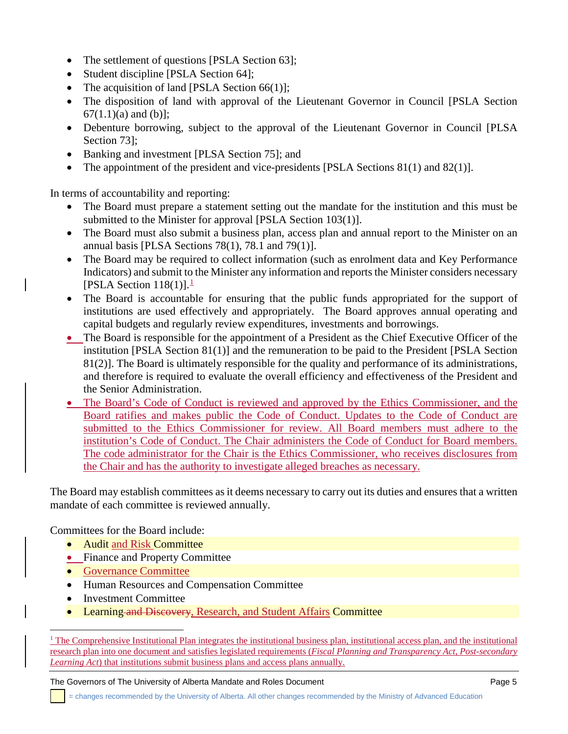- The settlement of questions [PSLA Section 63];
- Student discipline [PSLA Section 64];
- The acquisition of land [PSLA Section 66(1)];
- The disposition of land with approval of the Lieutenant Governor in Council [PSLA Section  $67(1.1)(a)$  and (b)];
- Debenture borrowing, subject to the approval of the Lieutenant Governor in Council [PLSA] Section 73];
- Banking and investment [PLSA Section 75]; and
- The appointment of the president and vice-presidents [PSLA Sections 81(1) and 82(1)].

In terms of accountability and reporting:

- The Board must prepare a statement setting out the mandate for the institution and this must be submitted to the Minister for approval [PSLA Section 103(1)].
- The Board must also submit a business plan, access plan and annual report to the Minister on an annual basis [PLSA Sections 78(1), 78.1 and 79(1)].
- The Board may be required to collect information (such as enrolment data and Key Performance Indicators) and submit to the Minister any information and reports the Minister considers necessary [PSLA Section  $118(1)$  $118(1)$ ].<sup>1</sup>
- The Board is accountable for ensuring that the public funds appropriated for the support of institutions are used effectively and appropriately. The Board approves annual operating and capital budgets and regularly review expenditures, investments and borrowings.
- The Board is responsible for the appointment of a President as the Chief Executive Officer of the institution [PSLA Section 81(1)] and the remuneration to be paid to the President [PSLA Section 81(2)]. The Board is ultimately responsible for the quality and performance of its administrations, and therefore is required to evaluate the overall efficiency and effectiveness of the President and the Senior Administration.
- The Board's Code of Conduct is reviewed and approved by the Ethics Commissioner, and the Board ratifies and makes public the Code of Conduct. Updates to the Code of Conduct are submitted to the Ethics Commissioner for review. All Board members must adhere to the institution's Code of Conduct. The Chair administers the Code of Conduct for Board members. The code administrator for the Chair is the Ethics Commissioner, who receives disclosures from the Chair and has the authority to investigate alleged breaches as necessary.

The Board may establish committees as it deems necessary to carry out its duties and ensures that a written mandate of each committee is reviewed annually.

Committees for the Board include:

- Audit and Risk Committee
- Finance and Property Committee
- Governance Committee
- Human Resources and Compensation Committee
- Investment Committee
- Learning and Discovery, Research, and Student Affairs Committee

The Governors of The University of Alberta Mandate and Roles Document **Page 1** Page 5

= changes recommended by the University of Alberta. All other changes recommended by the Ministry of Advanced Education

<span id="page-8-0"></span><sup>&</sup>lt;sup>1</sup> The Comprehensive Institutional Plan integrates the institutional business plan, institutional access plan, and the institutional research plan into one document and satisfies legislated requirements (*Fiscal Planning and Transparency Act, Post-secondary Learning Act*) that institutions submit business plans and access plans annually.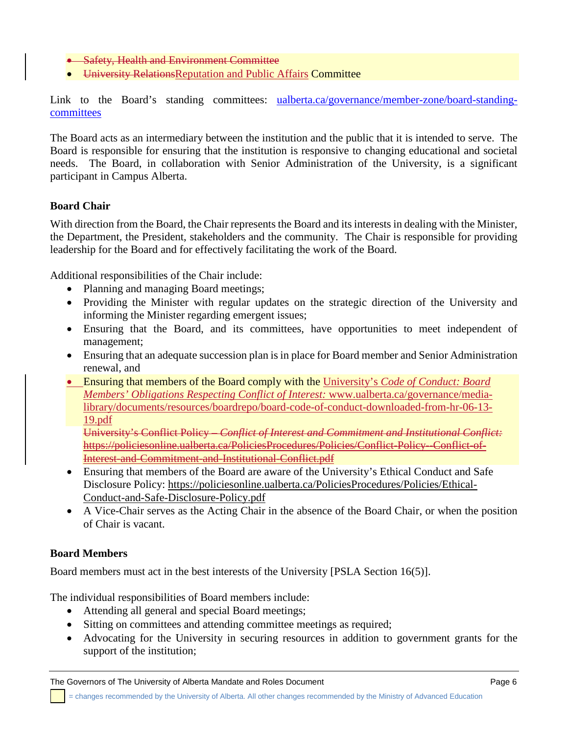- Safety, Health and Environment Committee
- University RelationsReputation and Public Affairs Committee

Link to the Board's standing committees: [ualberta.ca/governance/member-zone/board-standing](https://www.ualberta.ca/governance/member-zone/board-standing-committees/index.html)[committees](https://www.ualberta.ca/governance/member-zone/board-standing-committees/index.html)

The Board acts as an intermediary between the institution and the public that it is intended to serve. The Board is responsible for ensuring that the institution is responsive to changing educational and societal needs. The Board, in collaboration with Senior Administration of the University, is a significant participant in Campus Alberta.

## **Board Chair**

With direction from the Board, the Chair represents the Board and its interests in dealing with the Minister, the Department, the President, stakeholders and the community. The Chair is responsible for providing leadership for the Board and for effectively facilitating the work of the Board.

Additional responsibilities of the Chair include:

- Planning and managing Board meetings;
- Providing the Minister with regular updates on the strategic direction of the University and informing the Minister regarding emergent issues;
- Ensuring that the Board, and its committees, have opportunities to meet independent of management;
- Ensuring that an adequate succession plan is in place for Board member and Senior Administration renewal, and
- Ensuring that members of the Board comply with the University's *Code of Conduct: Board Members' Obligations Respecting Conflict of Interest:* [www.ualberta.ca/governance/media](file:///%5C%5Csts.ad.ualberta.ca%5Cuofa%5CDepartments%5CSAB%5CShared%20Drive%5CGovernance%5CGO03%20Board%20of%20Governors%20-%20Committees%5CGOV%5C19-20%5CFE-26%5CAgenda%5CAgenda%20Items%5COpen%20Session%5Cwww.ualberta.ca%5Cgovernance%5Cmedia-library%5Cdocuments%5Cresources%5Cboardrepo%5Cboard-code-of-conduct-downloaded-from-hr-06-13-19.pdf)[library/documents/resources/boardrepo/board-code-of-conduct-downloaded-from-hr-06-13-](file:///%5C%5Csts.ad.ualberta.ca%5Cuofa%5CDepartments%5CSAB%5CShared%20Drive%5CGovernance%5CGO03%20Board%20of%20Governors%20-%20Committees%5CGOV%5C19-20%5CFE-26%5CAgenda%5CAgenda%20Items%5COpen%20Session%5Cwww.ualberta.ca%5Cgovernance%5Cmedia-library%5Cdocuments%5Cresources%5Cboardrepo%5Cboard-code-of-conduct-downloaded-from-hr-06-13-19.pdf) [19.pdf](file:///%5C%5Csts.ad.ualberta.ca%5Cuofa%5CDepartments%5CSAB%5CShared%20Drive%5CGovernance%5CGO03%20Board%20of%20Governors%20-%20Committees%5CGOV%5C19-20%5CFE-26%5CAgenda%5CAgenda%20Items%5COpen%20Session%5Cwww.ualberta.ca%5Cgovernance%5Cmedia-library%5Cdocuments%5Cresources%5Cboardrepo%5Cboard-code-of-conduct-downloaded-from-hr-06-13-19.pdf)

University's Conflict Policy – *Conflict of Interest and Commitment and Institutional Conflict:*  https://policiesonline.ualberta.ca/PoliciesProcedures/Policies/Conflict-Policy--Conflict-of-Interest-and-Commitment-and-Institutional-Conflict.pdf

- Ensuring that members of the Board are aware of the University's Ethical Conduct and Safe Disclosure Policy: [https://policiesonline.ualberta.ca/PoliciesProcedures/Policies/Ethical-](https://policiesonline.ualberta.ca/PoliciesProcedures/Policies/Ethical-Conduct-and-Safe-Disclosure-Policy.pdf)[Conduct-and-Safe-Disclosure-Policy.pdf](https://policiesonline.ualberta.ca/PoliciesProcedures/Policies/Ethical-Conduct-and-Safe-Disclosure-Policy.pdf)
- A Vice-Chair serves as the Acting Chair in the absence of the Board Chair, or when the position of Chair is vacant.

## **Board Members**

Board members must act in the best interests of the University [PSLA Section 16(5)].

The individual responsibilities of Board members include:

- Attending all general and special Board meetings;
- Sitting on committees and attending committee meetings as required;
- Advocating for the University in securing resources in addition to government grants for the support of the institution;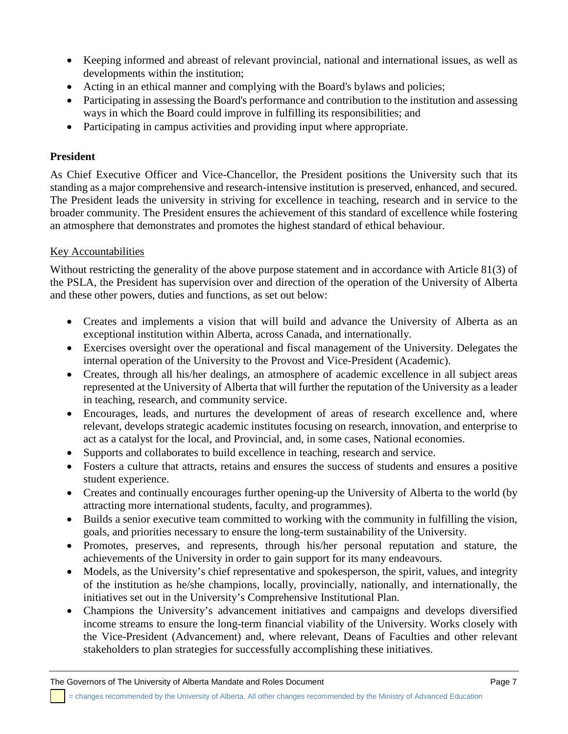- Keeping informed and abreast of relevant provincial, national and international issues, as well as developments within the institution;
- Acting in an ethical manner and complying with the Board's bylaws and policies;
- Participating in assessing the Board's performance and contribution to the institution and assessing ways in which the Board could improve in fulfilling its responsibilities; and
- Participating in campus activities and providing input where appropriate.

## **President**

As Chief Executive Officer and Vice-Chancellor, the President positions the University such that its standing as a major comprehensive and research-intensive institution is preserved, enhanced, and secured. The President leads the university in striving for excellence in teaching, research and in service to the broader community. The President ensures the achievement of this standard of excellence while fostering an atmosphere that demonstrates and promotes the highest standard of ethical behaviour.

## Key Accountabilities

Without restricting the generality of the above purpose statement and in accordance with Article 81(3) of the PSLA, the President has supervision over and direction of the operation of the University of Alberta and these other powers, duties and functions, as set out below:

- Creates and implements a vision that will build and advance the University of Alberta as an exceptional institution within Alberta, across Canada, and internationally.
- Exercises oversight over the operational and fiscal management of the University. Delegates the internal operation of the University to the Provost and Vice-President (Academic).
- Creates, through all his/her dealings, an atmosphere of academic excellence in all subject areas represented at the University of Alberta that will further the reputation of the University as a leader in teaching, research, and community service.
- Encourages, leads, and nurtures the development of areas of research excellence and, where relevant, develops strategic academic institutes focusing on research, innovation, and enterprise to act as a catalyst for the local, and Provincial, and, in some cases, National economies.
- Supports and collaborates to build excellence in teaching, research and service.
- Fosters a culture that attracts, retains and ensures the success of students and ensures a positive student experience.
- Creates and continually encourages further opening-up the University of Alberta to the world (by attracting more international students, faculty, and programmes).
- Builds a senior executive team committed to working with the community in fulfilling the vision, goals, and priorities necessary to ensure the long-term sustainability of the University.
- Promotes, preserves, and represents, through his/her personal reputation and stature, the achievements of the University in order to gain support for its many endeavours.
- Models, as the University's chief representative and spokesperson, the spirit, values, and integrity of the institution as he/she champions, locally, provincially, nationally, and internationally, the initiatives set out in the University's Comprehensive Institutional Plan.
- Champions the University's advancement initiatives and campaigns and develops diversified income streams to ensure the long-term financial viability of the University. Works closely with the Vice-President (Advancement) and, where relevant, Deans of Faculties and other relevant stakeholders to plan strategies for successfully accomplishing these initiatives.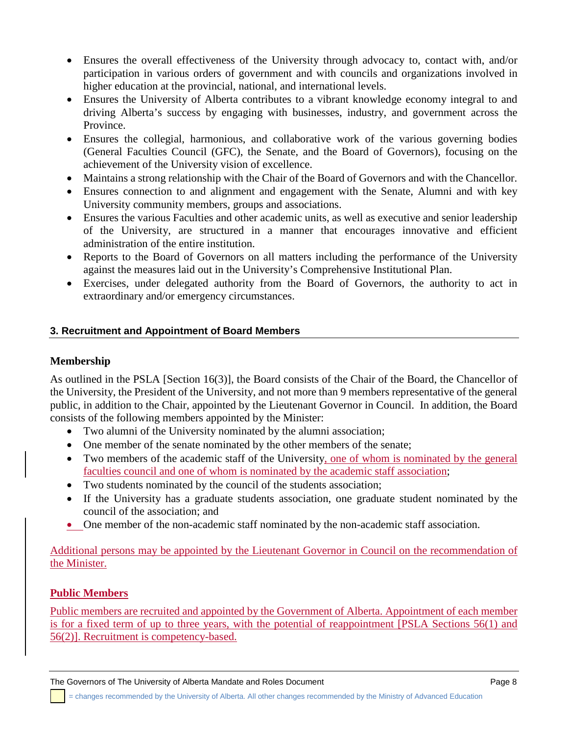- Ensures the overall effectiveness of the University through advocacy to, contact with, and/or participation in various orders of government and with councils and organizations involved in higher education at the provincial, national, and international levels.
- Ensures the University of Alberta contributes to a vibrant knowledge economy integral to and driving Alberta's success by engaging with businesses, industry, and government across the Province.
- Ensures the collegial, harmonious, and collaborative work of the various governing bodies (General Faculties Council (GFC), the Senate, and the Board of Governors), focusing on the achievement of the University vision of excellence.
- Maintains a strong relationship with the Chair of the Board of Governors and with the Chancellor.
- Ensures connection to and alignment and engagement with the Senate, Alumni and with key University community members, groups and associations.
- Ensures the various Faculties and other academic units, as well as executive and senior leadership of the University, are structured in a manner that encourages innovative and efficient administration of the entire institution.
- Reports to the Board of Governors on all matters including the performance of the University against the measures laid out in the University's Comprehensive Institutional Plan.
- Exercises, under delegated authority from the Board of Governors, the authority to act in extraordinary and/or emergency circumstances.

## **3. Recruitment and Appointment of Board Members**

## **Membership**

As outlined in the PSLA [Section 16(3)], the Board consists of the Chair of the Board, the Chancellor of the University, the President of the University, and not more than 9 members representative of the general public, in addition to the Chair, appointed by the Lieutenant Governor in Council. In addition, the Board consists of the following members appointed by the Minister:

- Two alumni of the University nominated by the alumni association;
- One member of the senate nominated by the other members of the senate;
- Two members of the academic staff of the University, one of whom is nominated by the general faculties council and one of whom is nominated by the academic staff association;
- Two students nominated by the council of the students association;
- If the University has a graduate students association, one graduate student nominated by the council of the association; and
- One member of the non-academic staff nominated by the non-academic staff association.

Additional persons may be appointed by the Lieutenant Governor in Council on the recommendation of the Minister.

## **Public Members**

Public members are recruited and appointed by the Government of Alberta. Appointment of each member is for a fixed term of up to three years, with the potential of reappointment [PSLA Sections 56(1) and 56(2)]. Recruitment is competency-based.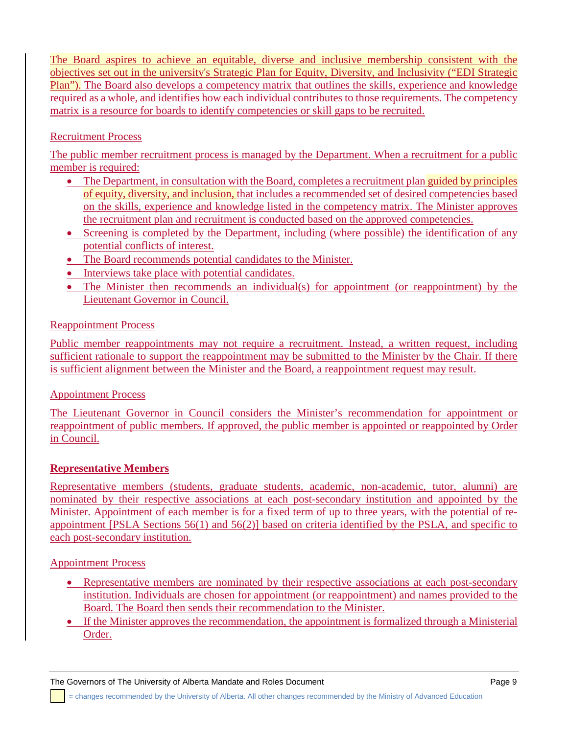The Board aspires to achieve an equitable, diverse and inclusive membership consistent with the objectives set out in the university's Strategic Plan for Equity, Diversity, and Inclusivity ("EDI Strategic Plan"). The Board also develops a competency matrix that outlines the skills, experience and knowledge required as a whole, and identifies how each individual contributes to those requirements. The competency matrix is a resource for boards to identify competencies or skill gaps to be recruited.

## Recruitment Process

The public member recruitment process is managed by the Department. When a recruitment for a public member is required:

- The Department, in consultation with the Board, completes a recruitment plan guided by principles of equity, diversity, and inclusion, that includes a recommended set of desired competencies based on the skills, experience and knowledge listed in the competency matrix. The Minister approves the recruitment plan and recruitment is conducted based on the approved competencies.
- Screening is completed by the Department, including (where possible) the identification of any potential conflicts of interest.
- The Board recommends potential candidates to the Minister.
- Interviews take place with potential candidates.
- The Minister then recommends an individual(s) for appointment (or reappointment) by the Lieutenant Governor in Council.

## Reappointment Process

Public member reappointments may not require a recruitment. Instead, a written request, including sufficient rationale to support the reappointment may be submitted to the Minister by the Chair. If there is sufficient alignment between the Minister and the Board, a reappointment request may result.

## Appointment Process

The Lieutenant Governor in Council considers the Minister's recommendation for appointment or reappointment of public members. If approved, the public member is appointed or reappointed by Order in Council.

## **Representative Members**

Representative members (students, graduate students, academic, non-academic, tutor, alumni) are nominated by their respective associations at each post-secondary institution and appointed by the Minister. Appointment of each member is for a fixed term of up to three years, with the potential of reappointment [PSLA Sections 56(1) and 56(2)] based on criteria identified by the PSLA, and specific to each post-secondary institution.

## Appointment Process

- Representative members are nominated by their respective associations at each post-secondary institution. Individuals are chosen for appointment (or reappointment) and names provided to the Board. The Board then sends their recommendation to the Minister.
- If the Minister approves the recommendation, the appointment is formalized through a Ministerial Order.

The Governors of The University of Alberta Mandate and Roles Document The Governors of The University of Alberta Mandate and Roles Document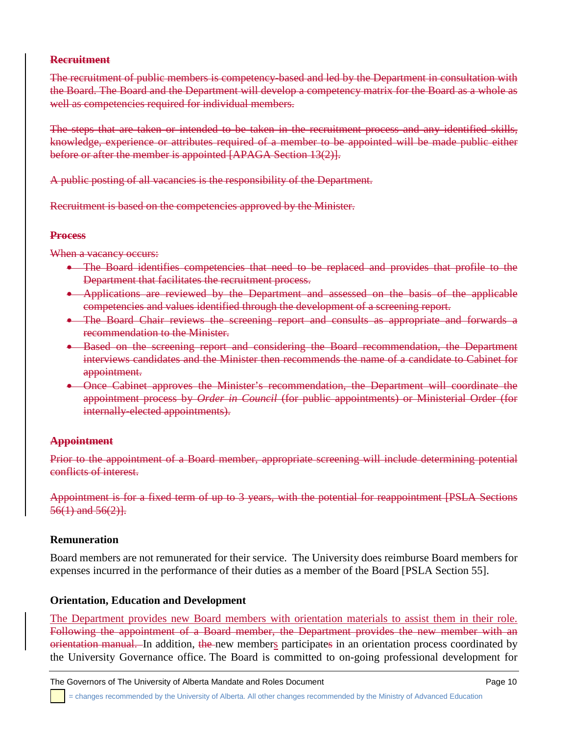#### **Recruitment**

The recruitment of public members is competency-based and led by the Department in consultation with the Board. The Board and the Department will develop a competency matrix for the Board as a whole as well as competencies required for individual members.

The steps that are taken or intended to be taken in the recruitment process and any identified skills, knowledge, experience or attributes required of a member to be appointed will be made public either before or after the member is appointed [APAGA Section 13(2)].

A public posting of all vacancies is the responsibility of the Department.

Recruitment is based on the competencies approved by the Minister.

#### **Process**

When a vacancy occurs:

- The Board identifies competencies that need to be replaced and provides that profile to the Department that facilitates the recruitment process.
- Applications are reviewed by the Department and assessed on the basis of the applicable competencies and values identified through the development of a screening report.
- The Board Chair reviews the screening report and consults as appropriate and forwards a recommendation to the Minister.
- Based on the screening report and considering the Board recommendation, the Department interviews candidates and the Minister then recommends the name of a candidate to Cabinet for appointment.
- Once Cabinet approves the Minister's recommendation, the Department will coordinate the appointment process by *Order in Council* (for public appointments) or Ministerial Order (for internally-elected appointments).

## **Appointment**

Prior to the appointment of a Board member, appropriate screening will include determining potential conflicts of interest.

Appointment is for a fixed term of up to 3 years, with the potential for reappointment [PSLA Sections  $56(1)$  and  $56(2)$ .

## **Remuneration**

Board members are not remunerated for their service. The University does reimburse Board members for expenses incurred in the performance of their duties as a member of the Board [PSLA Section 55].

## **Orientation, Education and Development**

The Department provides new Board members with orientation materials to assist them in their role. Following the appointment of a Board member, the Department provides the new member with an orientation manual. In addition, the new members participates in an orientation process coordinated by the University Governance office. The Board is committed to on-going professional development for

The Governors of The University of Alberta Mandate and Roles Document **Page 10** Page 10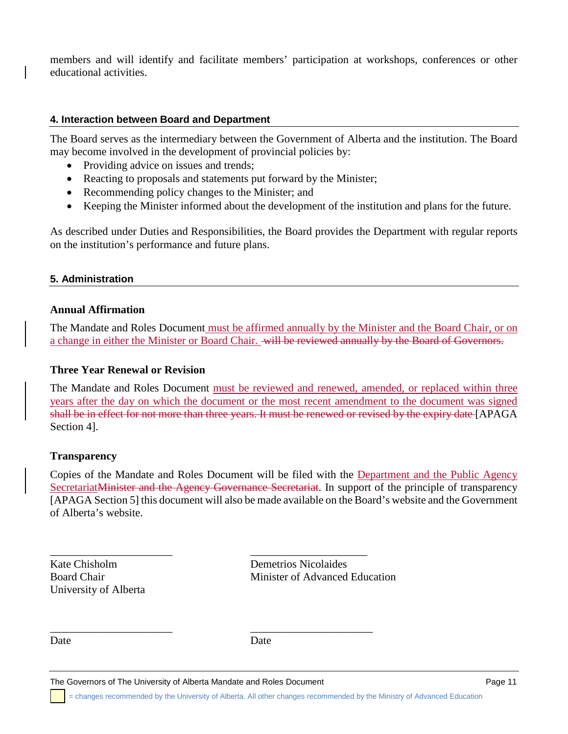members and will identify and facilitate members' participation at workshops, conferences or other educational activities.

#### **4. Interaction between Board and Department**

The Board serves as the intermediary between the Government of Alberta and the institution. The Board may become involved in the development of provincial policies by:

- Providing advice on issues and trends;
- Reacting to proposals and statements put forward by the Minister;
- Recommending policy changes to the Minister; and
- Keeping the Minister informed about the development of the institution and plans for the future.

As described under Duties and Responsibilities, the Board provides the Department with regular reports on the institution's performance and future plans.

## **5. Administration**

#### **Annual Affirmation**

The Mandate and Roles Document must be affirmed annually by the Minister and the Board Chair, or on a change in either the Minister or Board Chair. will be reviewed annually by the Board of Governors.

#### **Three Year Renewal or Revision**

The Mandate and Roles Document must be reviewed and renewed, amended, or replaced within three years after the day on which the document or the most recent amendment to the document was signed shall be in effect for not more than three years. It must be renewed or revised by the expiry date [APAGA Section 4].

## **Transparency**

Copies of the Mandate and Roles Document will be filed with the Department and the Public Agency Secretariat Minister and the Agency Governance Secretariat. In support of the principle of transparency [APAGA Section 5] this document will also be made available on the Board's website and the Government of Alberta's website.

University of Alberta

Kate Chisholm Demetrios Nicolaides Board Chair Minister of Advanced Education

Date Date

The Governors of The University of Alberta Mandate and Roles Document **Page 11** Page 11

\_\_\_\_\_\_\_\_\_\_\_\_\_\_\_\_\_\_\_\_\_\_ \_\_\_\_\_\_\_\_\_\_\_\_\_\_\_\_\_\_\_\_\_

\_\_\_\_\_\_\_\_\_\_\_\_\_\_\_\_\_\_\_\_\_\_ \_\_\_\_\_\_\_\_\_\_\_\_\_\_\_\_\_\_\_\_\_\_

= changes recommended by the University of Alberta. All other changes recommended by the Ministry of Advanced Education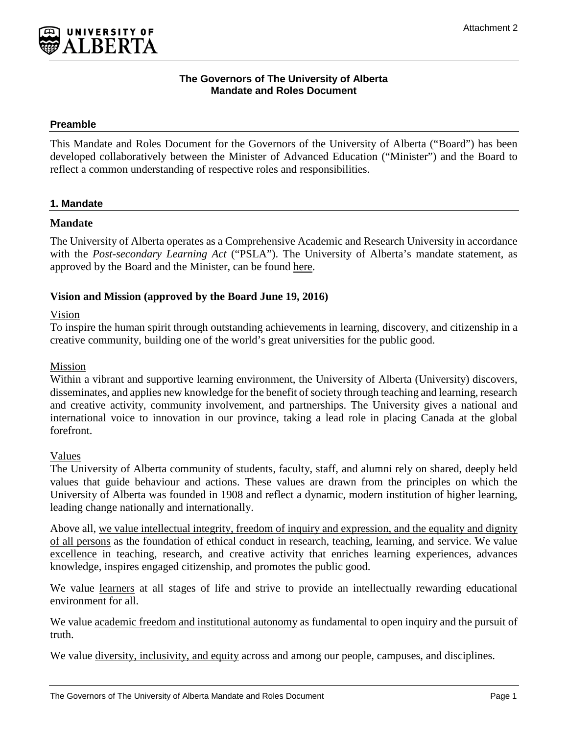

## **The Governors of The University of Alberta Mandate and Roles Document**

## **Preamble**

This Mandate and Roles Document for the Governors of the University of Alberta ("Board") has been developed collaboratively between the Minister of Advanced Education ("Minister") and the Board to reflect a common understanding of respective roles and responsibilities.

## **1. Mandate**

## **Mandate**

The University of Alberta operates as a Comprehensive Academic and Research University in accordance with the *Post-secondary Learning Act* ("PSLA"). The University of Alberta's mandate statement, as approved by the Board and the Minister, can be found [here.](https://www.alberta.ca/types-publicly-funded-post-secondary-institutions.aspx)

## **Vision and Mission (approved by the Board June 19, 2016)**

Vision

To inspire the human spirit through outstanding achievements in learning, discovery, and citizenship in a creative community, building one of the world's great universities for the public good.

Mission

Within a vibrant and supportive learning environment, the University of Alberta (University) discovers, disseminates, and applies new knowledge for the benefit of society through teaching and learning, research and creative activity, community involvement, and partnerships. The University gives a national and international voice to innovation in our province, taking a lead role in placing Canada at the global forefront.

Values

The University of Alberta community of students, faculty, staff, and alumni rely on shared, deeply held values that guide behaviour and actions. These values are drawn from the principles on which the University of Alberta was founded in 1908 and reflect a dynamic, modern institution of higher learning, leading change nationally and internationally.

Above all, we value intellectual integrity, freedom of inquiry and expression, and the equality and dignity of all persons as the foundation of ethical conduct in research, teaching, learning, and service. We value excellence in teaching, research, and creative activity that enriches learning experiences, advances knowledge, inspires engaged citizenship, and promotes the public good.

We value learners at all stages of life and strive to provide an intellectually rewarding educational environment for all.

We value academic freedom and institutional autonomy as fundamental to open inquiry and the pursuit of truth.

We value diversity, inclusivity, and equity across and among our people, campuses, and disciplines.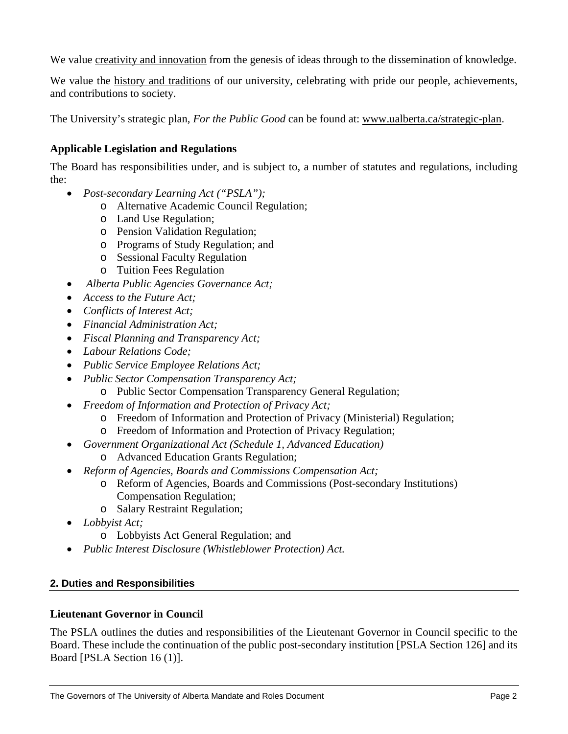We value creativity and innovation from the genesis of ideas through to the dissemination of knowledge.

We value the history and traditions of our university, celebrating with pride our people, achievements, and contributions to society.

The University's strategic plan, *For the Public Good* can be found at: [www.ualberta.ca/strategic-plan.](http://www.ualberta.ca/strategic-plan)

## **Applicable Legislation and Regulations**

The Board has responsibilities under, and is subject to, a number of statutes and regulations, including the:

- *Post-secondary Learning Act ("PSLA");*
	- o Alternative Academic Council Regulation;
	- o Land Use Regulation;
	- o Pension Validation Regulation;
	- o Programs of Study Regulation; and
	- o Sessional Faculty Regulation
	- o Tuition Fees Regulation
- *Alberta Public Agencies Governance Act;*
- *Access to the Future Act;*
- *Conflicts of Interest Act;*
- *Financial Administration Act;*
- *Fiscal Planning and Transparency Act;*
- *Labour Relations Code;*
- *Public Service Employee Relations Act;*
- *Public Sector Compensation Transparency Act;*
	- o Public Sector Compensation Transparency General Regulation;
- *Freedom of Information and Protection of Privacy Act;* 
	- o Freedom of Information and Protection of Privacy (Ministerial) Regulation;
	- o Freedom of Information and Protection of Privacy Regulation;
- *Government Organizational Act (Schedule 1, Advanced Education)*
	- o Advanced Education Grants Regulation;
- *Reform of Agencies, Boards and Commissions Compensation Act;*
	- o Reform of Agencies, Boards and Commissions (Post-secondary Institutions) Compensation Regulation;
	- o Salary Restraint Regulation;
- *Lobbyist Act;*
	- o Lobbyists Act General Regulation; and
- *Public Interest Disclosure (Whistleblower Protection) Act.*

## **2. Duties and Responsibilities**

## **Lieutenant Governor in Council**

The PSLA outlines the duties and responsibilities of the Lieutenant Governor in Council specific to the Board. These include the continuation of the public post-secondary institution [PSLA Section 126] and its Board [PSLA Section 16 (1)].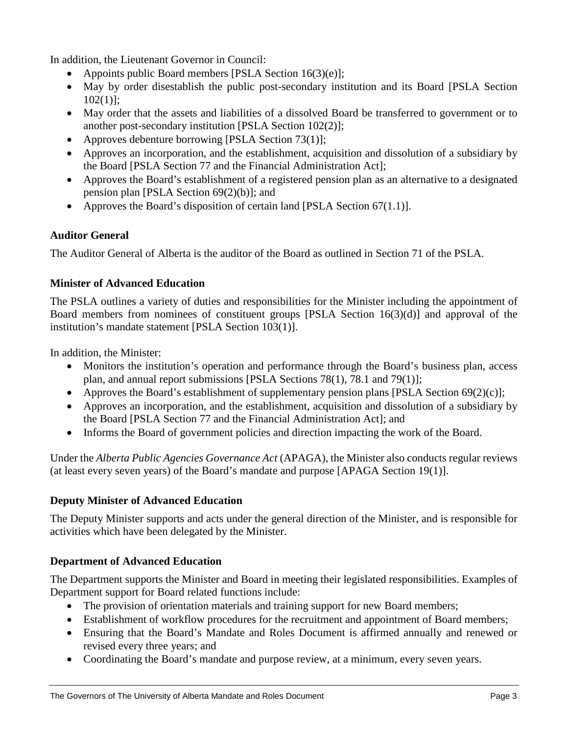In addition, the Lieutenant Governor in Council:

- Appoints public Board members [PSLA Section 16(3)(e)];
- May by order disestablish the public post-secondary institution and its Board [PSLA Section  $102(1)$ ;
- May order that the assets and liabilities of a dissolved Board be transferred to government or to another post-secondary institution [PSLA Section 102(2)];
- Approves debenture borrowing [PSLA Section 73(1)];
- Approves an incorporation, and the establishment, acquisition and dissolution of a subsidiary by the Board [PSLA Section 77 and the Financial Administration Act];
- Approves the Board's establishment of a registered pension plan as an alternative to a designated pension plan [PSLA Section 69(2)(b)]; and
- Approves the Board's disposition of certain land [PSLA Section  $67(1.1)$ ].

## **Auditor General**

The Auditor General of Alberta is the auditor of the Board as outlined in Section 71 of the PSLA.

## **Minister of Advanced Education**

The PSLA outlines a variety of duties and responsibilities for the Minister including the appointment of Board members from nominees of constituent groups [PSLA Section 16(3)(d)] and approval of the institution's mandate statement [PSLA Section 103(1)].

In addition, the Minister:

- Monitors the institution's operation and performance through the Board's business plan, access plan, and annual report submissions [PSLA Sections 78(1), 78.1 and 79(1)];
- Approves the Board's establishment of supplementary pension plans [PSLA Section  $69(2)(c)$ ];
- Approves an incorporation, and the establishment, acquisition and dissolution of a subsidiary by the Board [PSLA Section 77 and the Financial Administration Act]; and
- Informs the Board of government policies and direction impacting the work of the Board.

Under the *Alberta Public Agencies Governance Act* (APAGA), the Minister also conducts regular reviews (at least every seven years) of the Board's mandate and purpose [APAGA Section 19(1)].

## **Deputy Minister of Advanced Education**

The Deputy Minister supports and acts under the general direction of the Minister, and is responsible for activities which have been delegated by the Minister.

## **Department of Advanced Education**

The Department supports the Minister and Board in meeting their legislated responsibilities. Examples of Department support for Board related functions include:

- The provision of orientation materials and training support for new Board members;
- Establishment of workflow procedures for the recruitment and appointment of Board members;
- Ensuring that the Board's Mandate and Roles Document is affirmed annually and renewed or revised every three years; and
- Coordinating the Board's mandate and purpose review, at a minimum, every seven years.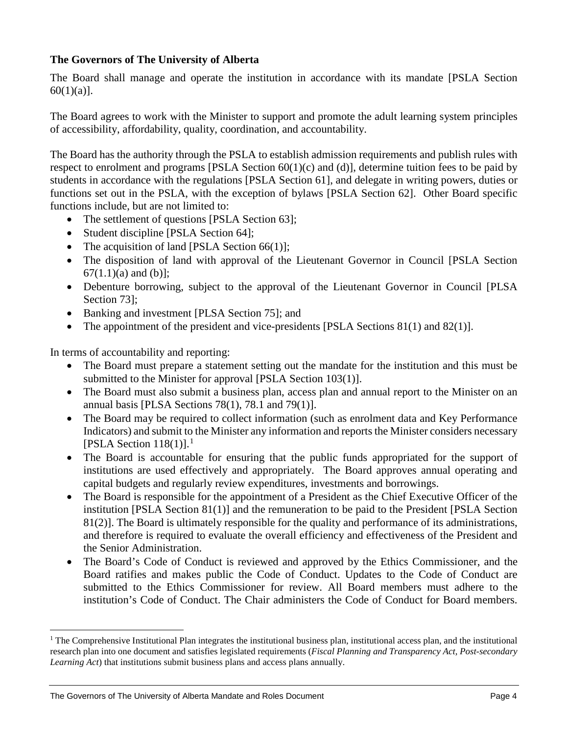## **The Governors of The University of Alberta**

The Board shall manage and operate the institution in accordance with its mandate [PSLA Section  $60(1)(a)$ ].

The Board agrees to work with the Minister to support and promote the adult learning system principles of accessibility, affordability, quality, coordination, and accountability.

The Board has the authority through the PSLA to establish admission requirements and publish rules with respect to enrolment and programs [PSLA Section 60(1)(c) and (d)], determine tuition fees to be paid by students in accordance with the regulations [PSLA Section 61], and delegate in writing powers, duties or functions set out in the PSLA, with the exception of bylaws [PSLA Section 62]. Other Board specific functions include, but are not limited to:

- The settlement of questions [PSLA Section 63];
- Student discipline [PSLA Section 64];
- The acquisition of land [PSLA Section  $66(1)$ ];
- The disposition of land with approval of the Lieutenant Governor in Council [PSLA Section  $67(1.1)(a)$  and  $(b)$ ];
- Debenture borrowing, subject to the approval of the Lieutenant Governor in Council [PLSA] Section 73];
- Banking and investment [PLSA Section 75]; and
- The appointment of the president and vice-presidents [PSLA Sections  $81(1)$  and  $82(1)$ ].

In terms of accountability and reporting:

- The Board must prepare a statement setting out the mandate for the institution and this must be submitted to the Minister for approval [PSLA Section 103(1)].
- The Board must also submit a business plan, access plan and annual report to the Minister on an annual basis [PLSA Sections 78(1), 78.1 and 79(1)].
- The Board may be required to collect information (such as enrolment data and Key Performance Indicators) and submit to the Minister any information and reports the Minister considers necessary [PSLA Section  $118(1)$  $118(1)$ ].<sup>1</sup>
- The Board is accountable for ensuring that the public funds appropriated for the support of institutions are used effectively and appropriately. The Board approves annual operating and capital budgets and regularly review expenditures, investments and borrowings.
- The Board is responsible for the appointment of a President as the Chief Executive Officer of the institution [PSLA Section 81(1)] and the remuneration to be paid to the President [PSLA Section 81(2)]. The Board is ultimately responsible for the quality and performance of its administrations, and therefore is required to evaluate the overall efficiency and effectiveness of the President and the Senior Administration.
- The Board's Code of Conduct is reviewed and approved by the Ethics Commissioner, and the Board ratifies and makes public the Code of Conduct. Updates to the Code of Conduct are submitted to the Ethics Commissioner for review. All Board members must adhere to the institution's Code of Conduct. The Chair administers the Code of Conduct for Board members.

<span id="page-18-0"></span><sup>&</sup>lt;sup>1</sup> The Comprehensive Institutional Plan integrates the institutional business plan, institutional access plan, and the institutional research plan into one document and satisfies legislated requirements (*Fiscal Planning and Transparency Act, Post-secondary Learning Act*) that institutions submit business plans and access plans annually.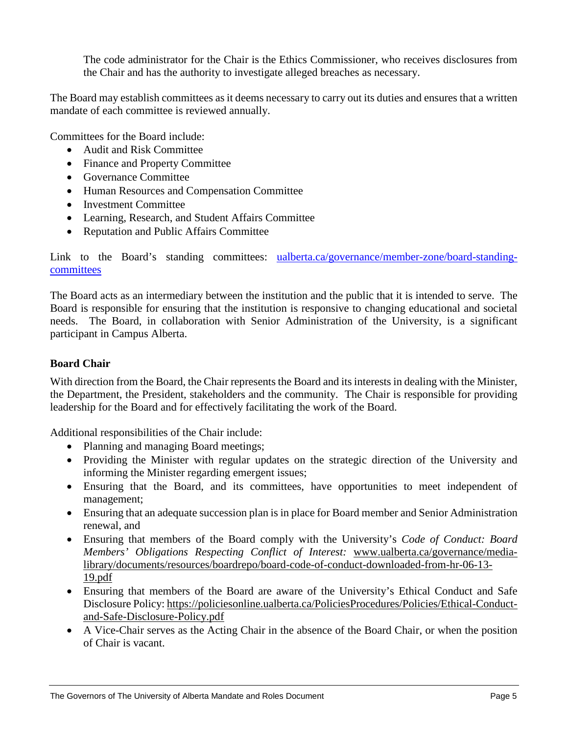The code administrator for the Chair is the Ethics Commissioner, who receives disclosures from the Chair and has the authority to investigate alleged breaches as necessary.

The Board may establish committees as it deems necessary to carry out its duties and ensures that a written mandate of each committee is reviewed annually.

Committees for the Board include:

- Audit and Risk Committee
- Finance and Property Committee
- Governance Committee
- Human Resources and Compensation Committee
- Investment Committee
- Learning, Research, and Student Affairs Committee
- Reputation and Public Affairs Committee

Link to the Board's standing committees: [ualberta.ca/governance/member-zone/board-standing](https://www.ualberta.ca/governance/member-zone/board-standing-committees/index.html)[committees](https://www.ualberta.ca/governance/member-zone/board-standing-committees/index.html)

The Board acts as an intermediary between the institution and the public that it is intended to serve. The Board is responsible for ensuring that the institution is responsive to changing educational and societal needs. The Board, in collaboration with Senior Administration of the University, is a significant participant in Campus Alberta.

## **Board Chair**

With direction from the Board, the Chair represents the Board and its interests in dealing with the Minister, the Department, the President, stakeholders and the community. The Chair is responsible for providing leadership for the Board and for effectively facilitating the work of the Board.

Additional responsibilities of the Chair include:

- Planning and managing Board meetings;
- Providing the Minister with regular updates on the strategic direction of the University and informing the Minister regarding emergent issues;
- Ensuring that the Board, and its committees, have opportunities to meet independent of management;
- Ensuring that an adequate succession plan is in place for Board member and Senior Administration renewal, and
- Ensuring that members of the Board comply with the University's *Code of Conduct: Board Members' Obligations Respecting Conflict of Interest:* [www.ualberta.ca/governance/media](file:///%5C%5Csts.ad.ualberta.ca%5Cuofa%5CDepartments%5CSAB%5CShared%20Drive%5CGovernance%5CGO03%20Board%20of%20Governors%20-%20Committees%5CGOV%5C19-20%5CFE-26%5CAgenda%5CAgenda%20Items%5COpen%20Session%5Cwww.ualberta.ca%5Cgovernance%5Cmedia-library%5Cdocuments%5Cresources%5Cboardrepo%5Cboard-code-of-conduct-downloaded-from-hr-06-13-19.pdf)[library/documents/resources/boardrepo/board-code-of-conduct-downloaded-from-hr-06-13-](file:///%5C%5Csts.ad.ualberta.ca%5Cuofa%5CDepartments%5CSAB%5CShared%20Drive%5CGovernance%5CGO03%20Board%20of%20Governors%20-%20Committees%5CGOV%5C19-20%5CFE-26%5CAgenda%5CAgenda%20Items%5COpen%20Session%5Cwww.ualberta.ca%5Cgovernance%5Cmedia-library%5Cdocuments%5Cresources%5Cboardrepo%5Cboard-code-of-conduct-downloaded-from-hr-06-13-19.pdf) [19.pdf](file:///%5C%5Csts.ad.ualberta.ca%5Cuofa%5CDepartments%5CSAB%5CShared%20Drive%5CGovernance%5CGO03%20Board%20of%20Governors%20-%20Committees%5CGOV%5C19-20%5CFE-26%5CAgenda%5CAgenda%20Items%5COpen%20Session%5Cwww.ualberta.ca%5Cgovernance%5Cmedia-library%5Cdocuments%5Cresources%5Cboardrepo%5Cboard-code-of-conduct-downloaded-from-hr-06-13-19.pdf)
- Ensuring that members of the Board are aware of the University's Ethical Conduct and Safe Disclosure Policy: [https://policiesonline.ualberta.ca/PoliciesProcedures/Policies/Ethical-Conduct](https://policiesonline.ualberta.ca/PoliciesProcedures/Policies/Ethical-Conduct-and-Safe-Disclosure-Policy.pdf)[and-Safe-Disclosure-Policy.pdf](https://policiesonline.ualberta.ca/PoliciesProcedures/Policies/Ethical-Conduct-and-Safe-Disclosure-Policy.pdf)
- A Vice-Chair serves as the Acting Chair in the absence of the Board Chair, or when the position of Chair is vacant.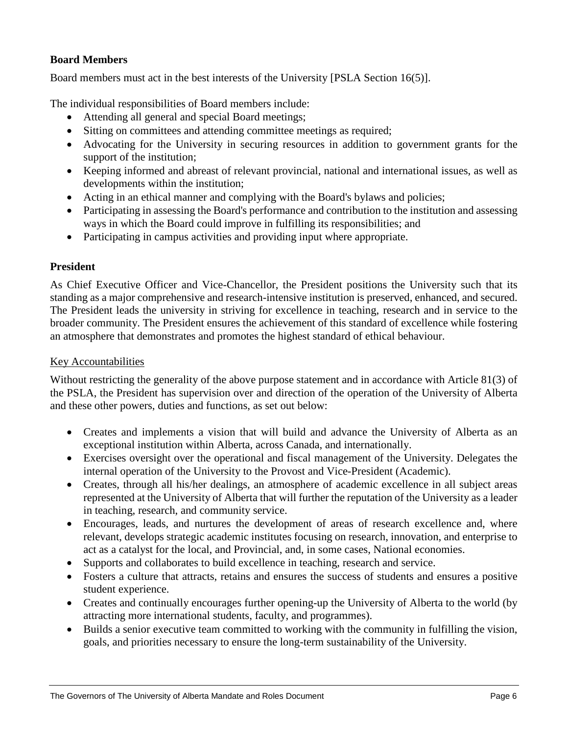## **Board Members**

Board members must act in the best interests of the University [PSLA Section 16(5)].

The individual responsibilities of Board members include:

- Attending all general and special Board meetings;
- Sitting on committees and attending committee meetings as required;
- Advocating for the University in securing resources in addition to government grants for the support of the institution;
- Keeping informed and abreast of relevant provincial, national and international issues, as well as developments within the institution;
- Acting in an ethical manner and complying with the Board's bylaws and policies;
- Participating in assessing the Board's performance and contribution to the institution and assessing ways in which the Board could improve in fulfilling its responsibilities; and
- Participating in campus activities and providing input where appropriate.

## **President**

As Chief Executive Officer and Vice-Chancellor, the President positions the University such that its standing as a major comprehensive and research-intensive institution is preserved, enhanced, and secured. The President leads the university in striving for excellence in teaching, research and in service to the broader community. The President ensures the achievement of this standard of excellence while fostering an atmosphere that demonstrates and promotes the highest standard of ethical behaviour.

## Key Accountabilities

Without restricting the generality of the above purpose statement and in accordance with Article 81(3) of the PSLA, the President has supervision over and direction of the operation of the University of Alberta and these other powers, duties and functions, as set out below:

- Creates and implements a vision that will build and advance the University of Alberta as an exceptional institution within Alberta, across Canada, and internationally.
- Exercises oversight over the operational and fiscal management of the University. Delegates the internal operation of the University to the Provost and Vice-President (Academic).
- Creates, through all his/her dealings, an atmosphere of academic excellence in all subject areas represented at the University of Alberta that will further the reputation of the University as a leader in teaching, research, and community service.
- Encourages, leads, and nurtures the development of areas of research excellence and, where relevant, develops strategic academic institutes focusing on research, innovation, and enterprise to act as a catalyst for the local, and Provincial, and, in some cases, National economies.
- Supports and collaborates to build excellence in teaching, research and service.
- Fosters a culture that attracts, retains and ensures the success of students and ensures a positive student experience.
- Creates and continually encourages further opening-up the University of Alberta to the world (by attracting more international students, faculty, and programmes).
- Builds a senior executive team committed to working with the community in fulfilling the vision, goals, and priorities necessary to ensure the long-term sustainability of the University.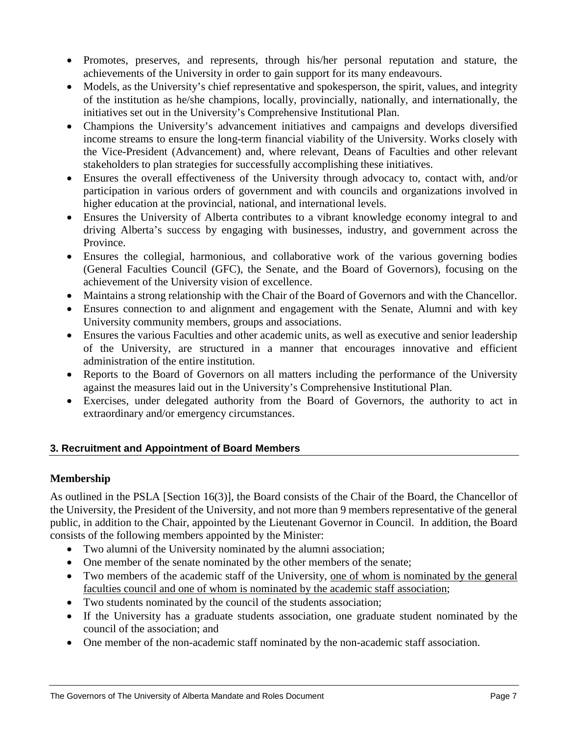- Promotes, preserves, and represents, through his/her personal reputation and stature, the achievements of the University in order to gain support for its many endeavours.
- Models, as the University's chief representative and spokesperson, the spirit, values, and integrity of the institution as he/she champions, locally, provincially, nationally, and internationally, the initiatives set out in the University's Comprehensive Institutional Plan.
- Champions the University's advancement initiatives and campaigns and develops diversified income streams to ensure the long-term financial viability of the University. Works closely with the Vice-President (Advancement) and, where relevant, Deans of Faculties and other relevant stakeholders to plan strategies for successfully accomplishing these initiatives.
- Ensures the overall effectiveness of the University through advocacy to, contact with, and/or participation in various orders of government and with councils and organizations involved in higher education at the provincial, national, and international levels.
- Ensures the University of Alberta contributes to a vibrant knowledge economy integral to and driving Alberta's success by engaging with businesses, industry, and government across the Province.
- Ensures the collegial, harmonious, and collaborative work of the various governing bodies (General Faculties Council (GFC), the Senate, and the Board of Governors), focusing on the achievement of the University vision of excellence.
- Maintains a strong relationship with the Chair of the Board of Governors and with the Chancellor.
- Ensures connection to and alignment and engagement with the Senate, Alumni and with key University community members, groups and associations.
- Ensures the various Faculties and other academic units, as well as executive and senior leadership of the University, are structured in a manner that encourages innovative and efficient administration of the entire institution.
- Reports to the Board of Governors on all matters including the performance of the University against the measures laid out in the University's Comprehensive Institutional Plan.
- Exercises, under delegated authority from the Board of Governors, the authority to act in extraordinary and/or emergency circumstances.

## **3. Recruitment and Appointment of Board Members**

## **Membership**

As outlined in the PSLA [Section 16(3)], the Board consists of the Chair of the Board, the Chancellor of the University, the President of the University, and not more than 9 members representative of the general public, in addition to the Chair, appointed by the Lieutenant Governor in Council. In addition, the Board consists of the following members appointed by the Minister:

- Two alumni of the University nominated by the alumni association;
- One member of the senate nominated by the other members of the senate;
- Two members of the academic staff of the University, <u>one of whom is nominated by the general</u> faculties council and one of whom is nominated by the academic staff association;
- Two students nominated by the council of the students association;
- If the University has a graduate students association, one graduate student nominated by the council of the association; and
- One member of the non-academic staff nominated by the non-academic staff association.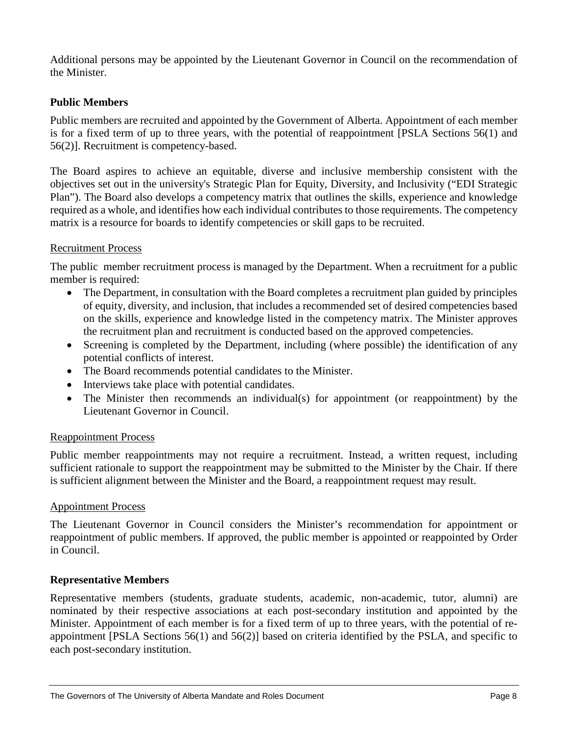Additional persons may be appointed by the Lieutenant Governor in Council on the recommendation of the Minister.

## **Public Members**

Public members are recruited and appointed by the Government of Alberta. Appointment of each member is for a fixed term of up to three years, with the potential of reappointment [PSLA Sections 56(1) and 56(2)]. Recruitment is competency-based.

The Board aspires to achieve an equitable, diverse and inclusive membership consistent with the objectives set out in the university's Strategic Plan for Equity, Diversity, and Inclusivity ("EDI Strategic Plan"). The Board also develops a competency matrix that outlines the skills, experience and knowledge required as a whole, and identifies how each individual contributes to those requirements. The competency matrix is a resource for boards to identify competencies or skill gaps to be recruited.

## Recruitment Process

The public member recruitment process is managed by the Department. When a recruitment for a public member is required:

- The Department, in consultation with the Board completes a recruitment plan guided by principles of equity, diversity, and inclusion, that includes a recommended set of desired competencies based on the skills, experience and knowledge listed in the competency matrix. The Minister approves the recruitment plan and recruitment is conducted based on the approved competencies.
- Screening is completed by the Department, including (where possible) the identification of any potential conflicts of interest.
- The Board recommends potential candidates to the Minister.
- Interviews take place with potential candidates.
- The Minister then recommends an individual(s) for appointment (or reappointment) by the Lieutenant Governor in Council.

## Reappointment Process

Public member reappointments may not require a recruitment. Instead, a written request, including sufficient rationale to support the reappointment may be submitted to the Minister by the Chair. If there is sufficient alignment between the Minister and the Board, a reappointment request may result.

## Appointment Process

The Lieutenant Governor in Council considers the Minister's recommendation for appointment or reappointment of public members. If approved, the public member is appointed or reappointed by Order in Council.

## **Representative Members**

Representative members (students, graduate students, academic, non-academic, tutor, alumni) are nominated by their respective associations at each post-secondary institution and appointed by the Minister. Appointment of each member is for a fixed term of up to three years, with the potential of reappointment [PSLA Sections 56(1) and 56(2)] based on criteria identified by the PSLA, and specific to each post-secondary institution.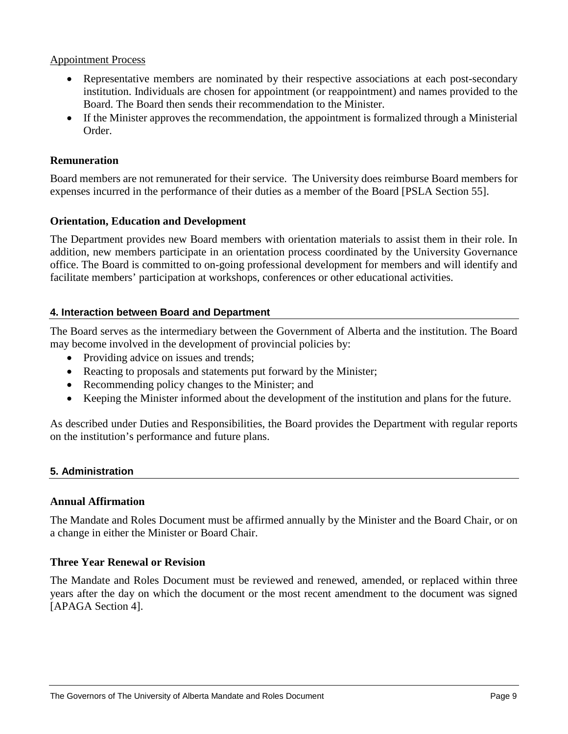## Appointment Process

- Representative members are nominated by their respective associations at each post-secondary institution. Individuals are chosen for appointment (or reappointment) and names provided to the Board. The Board then sends their recommendation to the Minister.
- If the Minister approves the recommendation, the appointment is formalized through a Ministerial Order.

## **Remuneration**

Board members are not remunerated for their service. The University does reimburse Board members for expenses incurred in the performance of their duties as a member of the Board [PSLA Section 55].

## **Orientation, Education and Development**

The Department provides new Board members with orientation materials to assist them in their role. In addition, new members participate in an orientation process coordinated by the University Governance office. The Board is committed to on-going professional development for members and will identify and facilitate members' participation at workshops, conferences or other educational activities.

## **4. Interaction between Board and Department**

The Board serves as the intermediary between the Government of Alberta and the institution. The Board may become involved in the development of provincial policies by:

- Providing advice on issues and trends;
- Reacting to proposals and statements put forward by the Minister;
- Recommending policy changes to the Minister; and
- Keeping the Minister informed about the development of the institution and plans for the future.

As described under Duties and Responsibilities, the Board provides the Department with regular reports on the institution's performance and future plans.

## **5. Administration**

## **Annual Affirmation**

The Mandate and Roles Document must be affirmed annually by the Minister and the Board Chair, or on a change in either the Minister or Board Chair.

## **Three Year Renewal or Revision**

The Mandate and Roles Document must be reviewed and renewed, amended, or replaced within three years after the day on which the document or the most recent amendment to the document was signed [APAGA Section 4].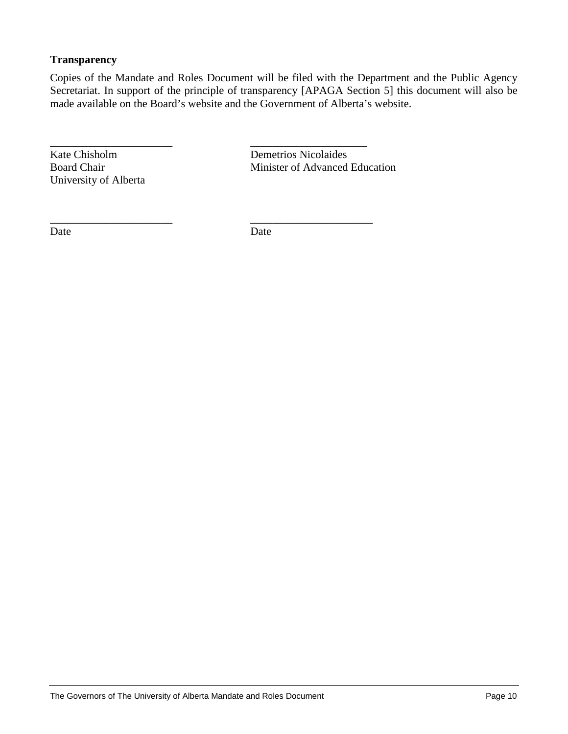## **Transparency**

Copies of the Mandate and Roles Document will be filed with the Department and the Public Agency Secretariat. In support of the principle of transparency [APAGA Section 5] this document will also be made available on the Board's website and the Government of Alberta's website.

\_\_\_\_\_\_\_\_\_\_\_\_\_\_\_\_\_\_\_\_\_\_ \_\_\_\_\_\_\_\_\_\_\_\_\_\_\_\_\_\_\_\_\_ Kate Chisholm Demetrios Nicolaides University of Alberta

Board Chair Minister of Advanced Education

Date Date

\_\_\_\_\_\_\_\_\_\_\_\_\_\_\_\_\_\_\_\_\_\_ \_\_\_\_\_\_\_\_\_\_\_\_\_\_\_\_\_\_\_\_\_\_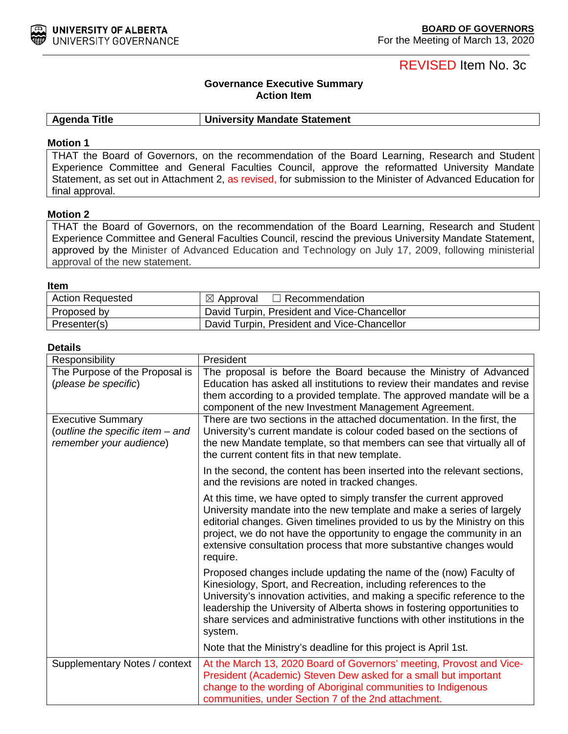<span id="page-25-0"></span>

## REVISED Item No. 3c

## **Governance Executive Summary Action Item**

**Agenda Title University Mandate Statement**

#### **Motion 1**

THAT the Board of Governors, on the recommendation of the Board Learning, Research and Student Experience Committee and General Faculties Council, approve the reformatted University Mandate Statement, as set out in Attachment 2, as revised, for submission to the Minister of Advanced Education for final approval.

#### **Motion 2**

THAT the Board of Governors, on the recommendation of the Board Learning, Research and Student Experience Committee and General Faculties Council, rescind the previous University Mandate Statement, approved by the Minister of Advanced Education and Technology on July 17, 2009, following ministerial approval of the new statement.

#### **Item**

| <b>Action Requested</b> | $\boxtimes$ Approval $\Box$ Recommendation  |
|-------------------------|---------------------------------------------|
| Proposed by             | David Turpin, President and Vice-Chancellor |
| Presenter(s)            | David Turpin, President and Vice-Chancellor |

#### **Details**

| Responsibility                                                                          | President                                                                                                                                                                                                                                                                                                                                                                                |
|-----------------------------------------------------------------------------------------|------------------------------------------------------------------------------------------------------------------------------------------------------------------------------------------------------------------------------------------------------------------------------------------------------------------------------------------------------------------------------------------|
| The Purpose of the Proposal is<br>(please be specific)                                  | The proposal is before the Board because the Ministry of Advanced<br>Education has asked all institutions to review their mandates and revise<br>them according to a provided template. The approved mandate will be a<br>component of the new Investment Management Agreement.                                                                                                          |
| <b>Executive Summary</b><br>(outline the specific item – and<br>remember your audience) | There are two sections in the attached documentation. In the first, the<br>University's current mandate is colour coded based on the sections of<br>the new Mandate template, so that members can see that virtually all of<br>the current content fits in that new template.                                                                                                            |
|                                                                                         | In the second, the content has been inserted into the relevant sections,<br>and the revisions are noted in tracked changes.                                                                                                                                                                                                                                                              |
|                                                                                         | At this time, we have opted to simply transfer the current approved<br>University mandate into the new template and make a series of largely<br>editorial changes. Given timelines provided to us by the Ministry on this<br>project, we do not have the opportunity to engage the community in an<br>extensive consultation process that more substantive changes would<br>require.     |
|                                                                                         | Proposed changes include updating the name of the (now) Faculty of<br>Kinesiology, Sport, and Recreation, including references to the<br>University's innovation activities, and making a specific reference to the<br>leadership the University of Alberta shows in fostering opportunities to<br>share services and administrative functions with other institutions in the<br>system. |
|                                                                                         | Note that the Ministry's deadline for this project is April 1st.                                                                                                                                                                                                                                                                                                                         |
| Supplementary Notes / context                                                           | At the March 13, 2020 Board of Governors' meeting, Provost and Vice-<br>President (Academic) Steven Dew asked for a small but important<br>change to the wording of Aboriginal communities to Indigenous<br>communities, under Section 7 of the 2nd attachment.                                                                                                                          |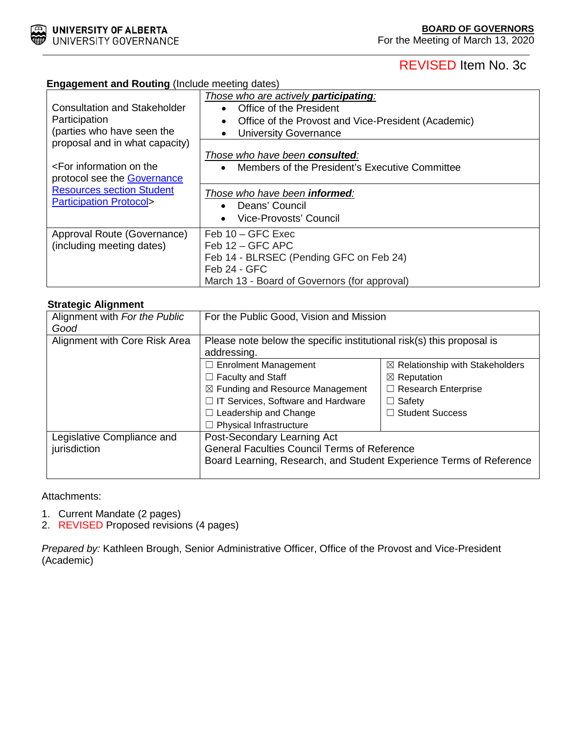

**Engagement and Routing (Include meeting dates)** 

# REVISED Item No. 3c

| ີປີ                                                                                                            |                                                                                                                                                                              |
|----------------------------------------------------------------------------------------------------------------|------------------------------------------------------------------------------------------------------------------------------------------------------------------------------|
| Consultation and Stakeholder<br>Participation<br>(parties who have seen the                                    | Those who are actively <b>participating</b> :<br>Office of the President<br>Office of the Provost and Vice-President (Academic)<br>$\bullet$<br><b>University Governance</b> |
| proposal and in what capacity)<br><for information="" on="" the<br="">protocol see the <b>Governance</b></for> | Those who have been consulted:<br>Members of the President's Executive Committee<br>$\bullet$                                                                                |
| <b>Resources section Student</b><br><b>Participation Protocol&gt;</b>                                          | Those who have been <b>informed</b> :<br>Deans' Council<br>$\bullet$<br>Vice-Provosts' Council                                                                               |
| Approval Route (Governance)<br>(including meeting dates)                                                       | Feb $10 - GFC$ Exec<br>Feb $12 - GFC$ APC<br>Feb 14 - BLRSEC (Pending GFC on Feb 24)<br>Feb 24 - GFC<br>March 13 - Board of Governors (for approval)                         |

#### **Strategic Alignment**

| Alignment with For the Public<br>Good | For the Public Good, Vision and Mission                                                                                    |                                            |  |
|---------------------------------------|----------------------------------------------------------------------------------------------------------------------------|--------------------------------------------|--|
| Alignment with Core Risk Area         | Please note below the specific institutional risk(s) this proposal is<br>addressing.                                       |                                            |  |
|                                       | □ Enrolment Management                                                                                                     | $\boxtimes$ Relationship with Stakeholders |  |
|                                       | $\Box$ Faculty and Staff                                                                                                   | $\boxtimes$ Reputation                     |  |
|                                       | $\boxtimes$ Funding and Resource Management                                                                                | $\Box$ Research Enterprise                 |  |
|                                       | $\Box$ IT Services, Software and Hardware                                                                                  | $\Box$ Safety                              |  |
|                                       | Leadership and Change                                                                                                      | $\Box$ Student Success                     |  |
|                                       | <b>Physical Infrastructure</b>                                                                                             |                                            |  |
| Legislative Compliance and            | Post-Secondary Learning Act                                                                                                |                                            |  |
| jurisdiction                          | <b>General Faculties Council Terms of Reference</b><br>Board Learning, Research, and Student Experience Terms of Reference |                                            |  |

#### Attachments:

- 1. Current Mandate (2 pages)
- 2. REVISED Proposed revisions (4 pages)

*Prepared by:* Kathleen Brough, Senior Administrative Officer, Office of the Provost and Vice-President (Academic)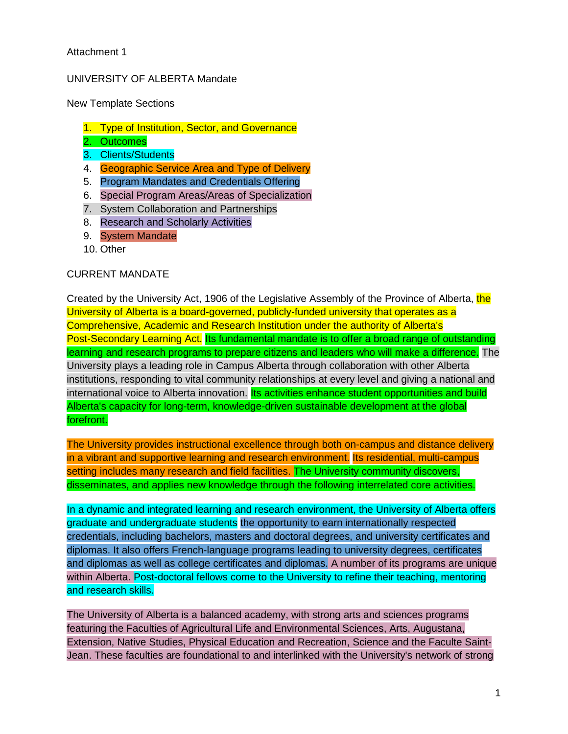#### Attachment 1

## UNIVERSITY OF ALBERTA Mandate

New Template Sections

- 1. Type of Institution, Sector, and Governance
- 2. Outcomes
- 3. Clients/Students
- 4. Geographic Service Area and Type of Delivery
- 5. Program Mandates and Credentials Offering
- 6. Special Program Areas/Areas of Specialization
- 7. System Collaboration and Partnerships
- 8. Research and Scholarly Activities
- 9. System Mandate
- 10. Other

## CURRENT MANDATE

Created by the University Act, 1906 of the Legislative Assembly of the Province of Alberta, the University of Alberta is a board-governed, publicly-funded university that operates as a Comprehensive, Academic and Research Institution under the authority of Alberta's Post-Secondary Learning Act. Its fundamental mandate is to offer a broad range of outstanding learning and research programs to prepare citizens and leaders who will make a difference. The University plays a leading role in Campus Alberta through collaboration with other Alberta institutions, responding to vital community relationships at every level and giving a national and international voice to Alberta innovation. Its activities enhance student opportunities and build Alberta's capacity for long-term, knowledge-driven sustainable development at the global forefront.

The University provides instructional excellence through both on-campus and distance delivery in a vibrant and supportive learning and research environment. Its residential, multi-campus setting includes many research and field facilities. The University community discovers, disseminates, and applies new knowledge through the following interrelated core activities.

In a dynamic and integrated learning and research environment, the University of Alberta offers graduate and undergraduate students the opportunity to earn internationally respected credentials, including bachelors, masters and doctoral degrees, and university certificates and diplomas. It also offers French-language programs leading to university degrees, certificates and diplomas as well as college certificates and diplomas. A number of its programs are unique within Alberta. Post-doctoral fellows come to the University to refine their teaching, mentoring and research skills.

The University of Alberta is a balanced academy, with strong arts and sciences programs featuring the Faculties of Agricultural Life and Environmental Sciences, Arts, Augustana, Extension, Native Studies, Physical Education and Recreation, Science and the Faculte Saint-Jean. These faculties are foundational to and interlinked with the University's network of strong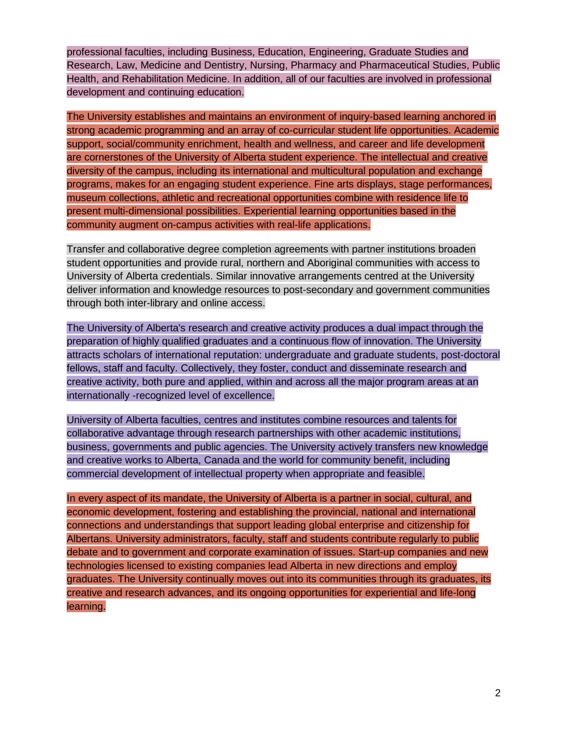professional faculties, including Business, Education, Engineering, Graduate Studies and Research, Law, Medicine and Dentistry, Nursing, Pharmacy and Pharmaceutical Studies, Public Health, and Rehabilitation Medicine. In addition, all of our faculties are involved in professional development and continuing education.

The University establishes and maintains an environment of inquiry-based learning anchored in strong academic programming and an array of co-curricular student life opportunities. Academic support, social/community enrichment, health and wellness, and career and life development are cornerstones of the University of Alberta student experience. The intellectual and creative diversity of the campus, including its international and multicultural population and exchange programs, makes for an engaging student experience. Fine arts displays, stage performances, museum collections, athletic and recreational opportunities combine with residence life to present multi-dimensional possibilities. Experiential learning opportunities based in the community augment on-campus activities with real-life applications.

Transfer and collaborative degree completion agreements with partner institutions broaden student opportunities and provide rural, northern and Aboriginal communities with access to University of Alberta credentials. Similar innovative arrangements centred at the University deliver information and knowledge resources to post-secondary and government communities through both inter-library and online access.

The University of Alberta's research and creative activity produces a dual impact through the preparation of highly qualified graduates and a continuous flow of innovation. The University attracts scholars of international reputation: undergraduate and graduate students, post-doctoral fellows, staff and faculty. Collectively, they foster, conduct and disseminate research and creative activity, both pure and applied, within and across all the major program areas at an internationally -recognized level of excellence.

University of Alberta faculties, centres and institutes combine resources and talents for collaborative advantage through research partnerships with other academic institutions, business, governments and public agencies. The University actively transfers new knowledge and creative works to Alberta, Canada and the world for community benefit, including commercial development of intellectual property when appropriate and feasible.

In every aspect of its mandate, the University of Alberta is a partner in social, cultural, and economic development, fostering and establishing the provincial, national and international connections and understandings that support leading global enterprise and citizenship for Albertans. University administrators, faculty, staff and students contribute regularly to public debate and to government and corporate examination of issues. Start-up companies and new technologies licensed to existing companies lead Alberta in new directions and employ graduates. The University continually moves out into its communities through its graduates, its creative and research advances, and its ongoing opportunities for experiential and life-long learning.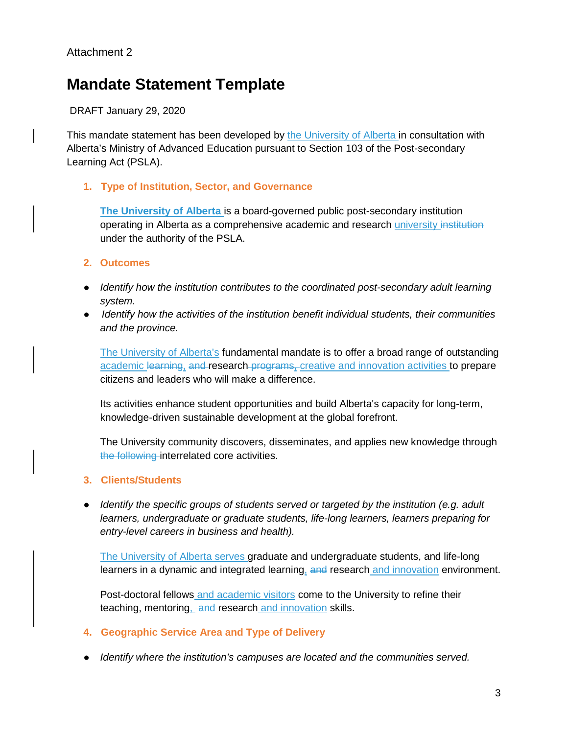# **Mandate Statement Template**

DRAFT January 29, 2020

This mandate statement has been developed by the University of Alberta in consultation with Alberta's Ministry of Advanced Education pursuant to Section 103 of the Post-secondary Learning Act (PSLA).

**1. Type of Institution, Sector, and Governance**

**The University of Alberta** is a board-governed public post-secondary institution operating in Alberta as a comprehensive academic and research university institution under the authority of the PSLA.

## **2. Outcomes**

- *Identify how the institution contributes to the coordinated post-secondary adult learning system.*
- *Identify how the activities of the institution benefit individual students, their communities and the province.*

The University of Alberta's fundamental mandate is to offer a broad range of outstanding academic learning, and research programs, creative and innovation activities to prepare citizens and leaders who will make a difference.

Its activities enhance student opportunities and build Alberta's capacity for long-term, knowledge-driven sustainable development at the global forefront.

The University community discovers, disseminates, and applies new knowledge through the following interrelated core activities.

## **3. Clients/Students**

● *Identify the specific groups of students served or targeted by the institution (e.g. adult learners, undergraduate or graduate students, life-long learners, learners preparing for entry-level careers in business and health).*

The University of Alberta serves graduate and undergraduate students, and life-long learners in a dynamic and integrated learning, and research and innovation environment.

Post-doctoral fellows and academic visitors come to the University to refine their teaching, mentoring, and research and innovation skills.

**4. Geographic Service Area and Type of Delivery**

● *Identify where the institution's campuses are located and the communities served.*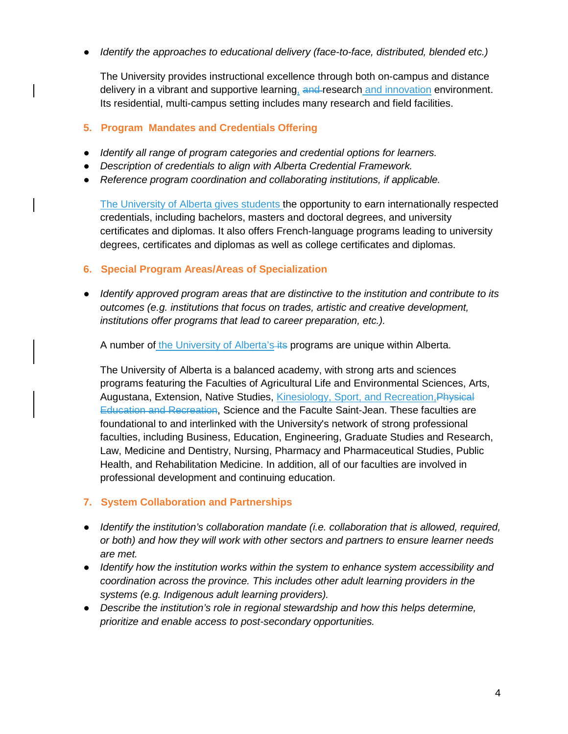● *Identify the approaches to educational delivery (face-to-face, distributed, blended etc.)*

The University provides instructional excellence through both on-campus and distance delivery in a vibrant and supportive learning, and research and innovation environment. Its residential, multi-campus setting includes many research and field facilities.

## **5. Program Mandates and Credentials Offering**

- *Identify all range of program categories and credential options for learners.*
- *Description of credentials to align with Alberta Credential Framework.*
- *Reference program coordination and collaborating institutions, if applicable.*

The University of Alberta gives students the opportunity to earn internationally respected credentials, including bachelors, masters and doctoral degrees, and university certificates and diplomas. It also offers French-language programs leading to university degrees, certificates and diplomas as well as college certificates and diplomas.

#### **6. Special Program Areas/Areas of Specialization**

● *Identify approved program areas that are distinctive to the institution and contribute to its outcomes (e.g. institutions that focus on trades, artistic and creative development, institutions offer programs that lead to career preparation, etc.).*

A number of the University of Alberta's its programs are unique within Alberta.

The University of Alberta is a balanced academy, with strong arts and sciences programs featuring the Faculties of Agricultural Life and Environmental Sciences, Arts, Augustana, Extension, Native Studies, Kinesiology, Sport, and Recreation, Physical Education and Recreation, Science and the Faculte Saint-Jean. These faculties are foundational to and interlinked with the University's network of strong professional faculties, including Business, Education, Engineering, Graduate Studies and Research, Law, Medicine and Dentistry, Nursing, Pharmacy and Pharmaceutical Studies, Public Health, and Rehabilitation Medicine. In addition, all of our faculties are involved in professional development and continuing education.

## **7. System Collaboration and Partnerships**

- *Identify the institution's collaboration mandate (i.e. collaboration that is allowed, required, or both) and how they will work with other sectors and partners to ensure learner needs are met.*
- *Identify how the institution works within the system to enhance system accessibility and coordination across the province. This includes other adult learning providers in the systems (e.g. Indigenous adult learning providers).*
- *Describe the institution's role in regional stewardship and how this helps determine, prioritize and enable access to post-secondary opportunities.*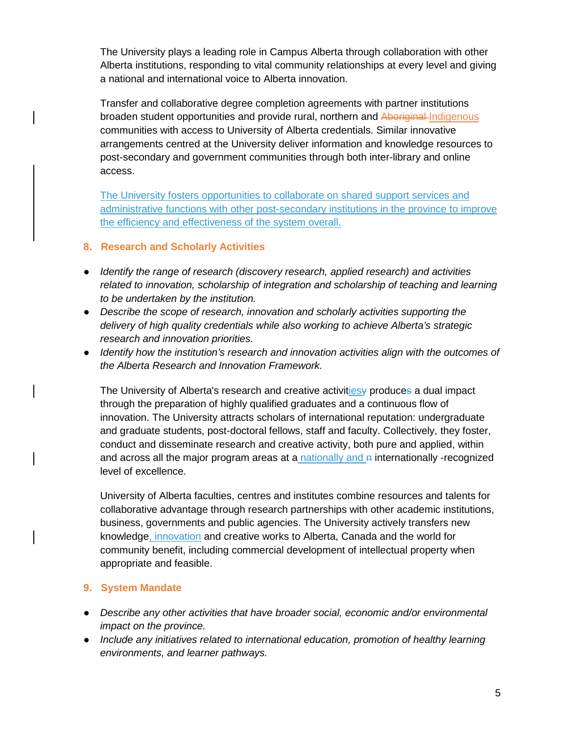The University plays a leading role in Campus Alberta through collaboration with other Alberta institutions, responding to vital community relationships at every level and giving a national and international voice to Alberta innovation.

Transfer and collaborative degree completion agreements with partner institutions broaden student opportunities and provide rural, northern and Aboriginal Indigenous communities with access to University of Alberta credentials. Similar innovative arrangements centred at the University deliver information and knowledge resources to post-secondary and government communities through both inter-library and online access.

The University fosters opportunities to collaborate on shared support services and administrative functions with other post-secondary institutions in the province to improve the efficiency and effectiveness of the system overall.

## **8. Research and Scholarly Activities**

- *Identify the range of research (discovery research, applied research) and activities*  related to innovation, scholarship of integration and scholarship of teaching and learning *to be undertaken by the institution.*
- *Describe the scope of research, innovation and scholarly activities supporting the delivery of high quality credentials while also working to achieve Alberta's strategic research and innovation priorities.*
- *Identify how the institution's research and innovation activities align with the outcomes of the Alberta Research and Innovation Framework.*

The University of Alberta's research and creative activitiesy produces a dual impact through the preparation of highly qualified graduates and a continuous flow of innovation. The University attracts scholars of international reputation: undergraduate and graduate students, post-doctoral fellows, staff and faculty. Collectively, they foster, conduct and disseminate research and creative activity, both pure and applied, within and across all the major program areas at a nationally and  $\theta$  internationally -recognized level of excellence.

University of Alberta faculties, centres and institutes combine resources and talents for collaborative advantage through research partnerships with other academic institutions, business, governments and public agencies. The University actively transfers new knowledge, innovation and creative works to Alberta, Canada and the world for community benefit, including commercial development of intellectual property when appropriate and feasible.

## **9. System Mandate**

- *Describe any other activities that have broader social, economic and/or environmental impact on the province.*
- *Include any initiatives related to international education, promotion of healthy learning environments, and learner pathways.*